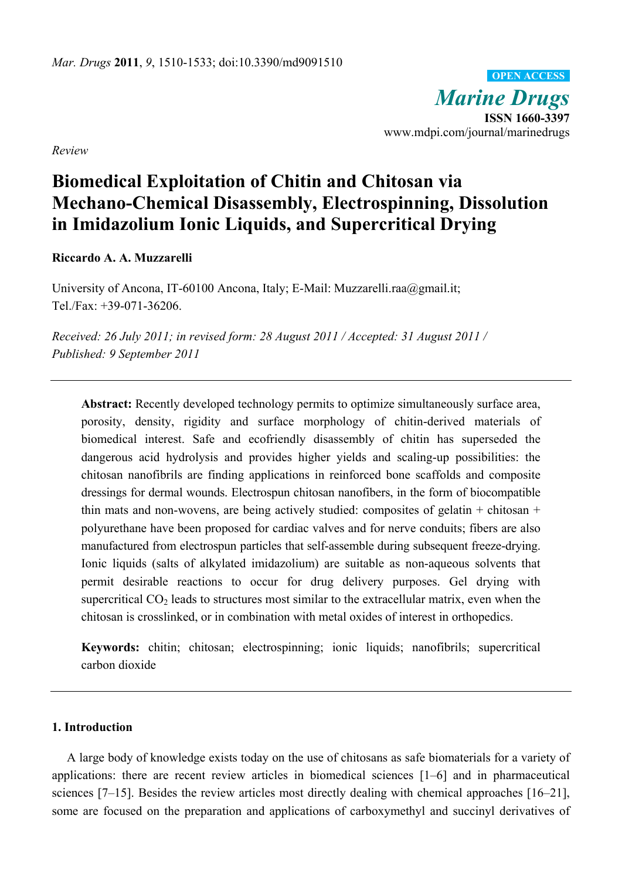*Marine Drugs* **ISSN 1660-3397**  www.mdpi.com/journal/marinedrugs **OPEN ACCESS**

*Review* 

# **Biomedical Exploitation of Chitin and Chitosan via Mechano-Chemical Disassembly, Electrospinning, Dissolution in Imidazolium Ionic Liquids, and Supercritical Drying**

**Riccardo A. A. Muzzarelli** 

University of Ancona, IT-60100 Ancona, Italy; E-Mail: Muzzarelli.raa@gmail.it; Tel./Fax: +39-071-36206.

*Received: 26 July 2011; in revised form: 28 August 2011 / Accepted: 31 August 2011 / Published: 9 September 2011* 

**Abstract:** Recently developed technology permits to optimize simultaneously surface area, porosity, density, rigidity and surface morphology of chitin-derived materials of biomedical interest. Safe and ecofriendly disassembly of chitin has superseded the dangerous acid hydrolysis and provides higher yields and scaling-up possibilities: the chitosan nanofibrils are finding applications in reinforced bone scaffolds and composite dressings for dermal wounds. Electrospun chitosan nanofibers, in the form of biocompatible thin mats and non-wovens, are being actively studied: composites of gelatin  $+$  chitosan  $+$ polyurethane have been proposed for cardiac valves and for nerve conduits; fibers are also manufactured from electrospun particles that self-assemble during subsequent freeze-drying. Ionic liquids (salts of alkylated imidazolium) are suitable as non-aqueous solvents that permit desirable reactions to occur for drug delivery purposes. Gel drying with supercritical  $CO<sub>2</sub>$  leads to structures most similar to the extracellular matrix, even when the chitosan is crosslinked, or in combination with metal oxides of interest in orthopedics.

**Keywords:** chitin; chitosan; electrospinning; ionic liquids; nanofibrils; supercritical carbon dioxide

# **1. Introduction**

A large body of knowledge exists today on the use of chitosans as safe biomaterials for a variety of applications: there are recent review articles in biomedical sciences [1–6] and in pharmaceutical sciences [7–15]. Besides the review articles most directly dealing with chemical approaches [16–21], some are focused on the preparation and applications of carboxymethyl and succinyl derivatives of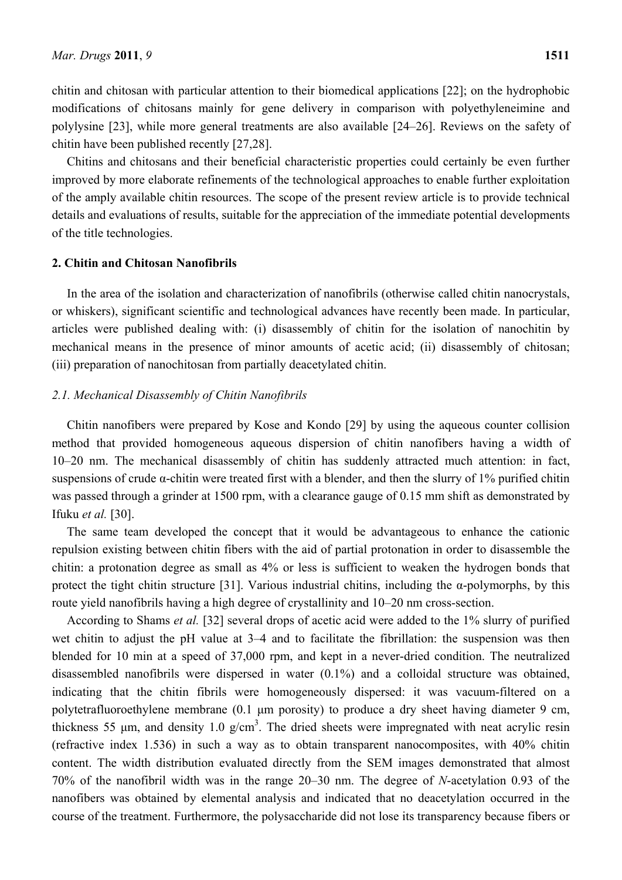chitin and chitosan with particular attention to their biomedical applications [22]; on the hydrophobic modifications of chitosans mainly for gene delivery in comparison with polyethyleneimine and polylysine [23], while more general treatments are also available [24–26]. Reviews on the safety of chitin have been published recently [27,28].

Chitins and chitosans and their beneficial characteristic properties could certainly be even further improved by more elaborate refinements of the technological approaches to enable further exploitation of the amply available chitin resources. The scope of the present review article is to provide technical details and evaluations of results, suitable for the appreciation of the immediate potential developments of the title technologies.

# **2. Chitin and Chitosan Nanofibrils**

In the area of the isolation and characterization of nanofibrils (otherwise called chitin nanocrystals, or whiskers), significant scientific and technological advances have recently been made. In particular, articles were published dealing with: (i) disassembly of chitin for the isolation of nanochitin by mechanical means in the presence of minor amounts of acetic acid; (ii) disassembly of chitosan; (iii) preparation of nanochitosan from partially deacetylated chitin.

# *2.1. Mechanical Disassembly of Chitin Nanofibrils*

Chitin nanofibers were prepared by Kose and Kondo [29] by using the aqueous counter collision method that provided homogeneous aqueous dispersion of chitin nanofibers having a width of 10–20 nm. The mechanical disassembly of chitin has suddenly attracted much attention: in fact, suspensions of crude  $\alpha$ -chitin were treated first with a blender, and then the slurry of 1% purified chitin was passed through a grinder at 1500 rpm, with a clearance gauge of 0.15 mm shift as demonstrated by Ifuku *et al.* [30].

The same team developed the concept that it would be advantageous to enhance the cationic repulsion existing between chitin fibers with the aid of partial protonation in order to disassemble the chitin: a protonation degree as small as 4% or less is sufficient to weaken the hydrogen bonds that protect the tight chitin structure [31]. Various industrial chitins, including the  $\alpha$ -polymorphs, by this route yield nanofibrils having a high degree of crystallinity and 10–20 nm cross-section.

According to Shams *et al.* [32] several drops of acetic acid were added to the 1% slurry of purified wet chitin to adjust the pH value at 3–4 and to facilitate the fibrillation: the suspension was then blended for 10 min at a speed of 37,000 rpm, and kept in a never-dried condition. The neutralized disassembled nanofibrils were dispersed in water (0.1%) and a colloidal structure was obtained, indicating that the chitin fibrils were homogeneously dispersed: it was vacuum-filtered on a polytetrafluoroethylene membrane (0.1 μm porosity) to produce a dry sheet having diameter 9 cm, thickness 55  $\mu$ m, and density 1.0 g/cm<sup>3</sup>. The dried sheets were impregnated with neat acrylic resin (refractive index 1.536) in such a way as to obtain transparent nanocomposites, with 40% chitin content. The width distribution evaluated directly from the SEM images demonstrated that almost 70% of the nanofibril width was in the range 20–30 nm. The degree of *N*-acetylation 0.93 of the nanofibers was obtained by elemental analysis and indicated that no deacetylation occurred in the course of the treatment. Furthermore, the polysaccharide did not lose its transparency because fibers or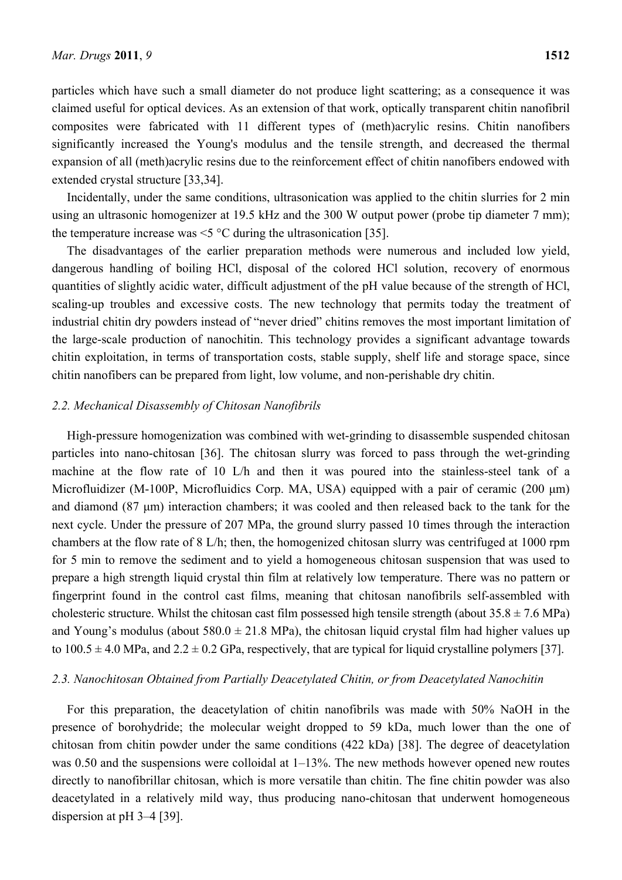particles which have such a small diameter do not produce light scattering; as a consequence it was claimed useful for optical devices. As an extension of that work, optically transparent chitin nanofibril composites were fabricated with 11 different types of (meth)acrylic resins. Chitin nanofibers significantly increased the Young's modulus and the tensile strength, and decreased the thermal expansion of all (meth)acrylic resins due to the reinforcement effect of chitin nanofibers endowed with extended crystal structure [33,34].

Incidentally, under the same conditions, ultrasonication was applied to the chitin slurries for 2 min using an ultrasonic homogenizer at 19.5 kHz and the 300 W output power (probe tip diameter 7 mm); the temperature increase was  $\leq$   $\degree$ C during the ultrasonication [35].

The disadvantages of the earlier preparation methods were numerous and included low yield, dangerous handling of boiling HCl, disposal of the colored HCl solution, recovery of enormous quantities of slightly acidic water, difficult adjustment of the pH value because of the strength of HCl, scaling-up troubles and excessive costs. The new technology that permits today the treatment of industrial chitin dry powders instead of "never dried" chitins removes the most important limitation of the large-scale production of nanochitin. This technology provides a significant advantage towards chitin exploitation, in terms of transportation costs, stable supply, shelf life and storage space, since chitin nanofibers can be prepared from light, low volume, and non-perishable dry chitin.

# *2.2. Mechanical Disassembly of Chitosan Nanofibrils*

High-pressure homogenization was combined with wet-grinding to disassemble suspended chitosan particles into nano-chitosan [36]. The chitosan slurry was forced to pass through the wet-grinding machine at the flow rate of 10 L/h and then it was poured into the stainless-steel tank of a Microfluidizer (M-100P, Microfluidics Corp. MA, USA) equipped with a pair of ceramic (200 μm) and diamond (87 μm) interaction chambers; it was cooled and then released back to the tank for the next cycle. Under the pressure of 207 MPa, the ground slurry passed 10 times through the interaction chambers at the flow rate of 8 L/h; then, the homogenized chitosan slurry was centrifuged at 1000 rpm for 5 min to remove the sediment and to yield a homogeneous chitosan suspension that was used to prepare a high strength liquid crystal thin film at relatively low temperature. There was no pattern or fingerprint found in the control cast films, meaning that chitosan nanofibrils self-assembled with cholesteric structure. Whilst the chitosan cast film possessed high tensile strength (about  $35.8 \pm 7.6$  MPa) and Young's modulus (about  $580.0 \pm 21.8$  MPa), the chitosan liquid crystal film had higher values up to  $100.5 \pm 4.0$  MPa, and  $2.2 \pm 0.2$  GPa, respectively, that are typical for liquid crystalline polymers [37].

#### *2.3. Nanochitosan Obtained from Partially Deacetylated Chitin, or from Deacetylated Nanochitin*

For this preparation, the deacetylation of chitin nanofibrils was made with 50% NaOH in the presence of borohydride; the molecular weight dropped to 59 kDa, much lower than the one of chitosan from chitin powder under the same conditions (422 kDa) [38]. The degree of deacetylation was 0.50 and the suspensions were colloidal at  $1-13%$ . The new methods however opened new routes directly to nanofibrillar chitosan, which is more versatile than chitin. The fine chitin powder was also deacetylated in a relatively mild way, thus producing nano-chitosan that underwent homogeneous dispersion at pH 3–4 [39].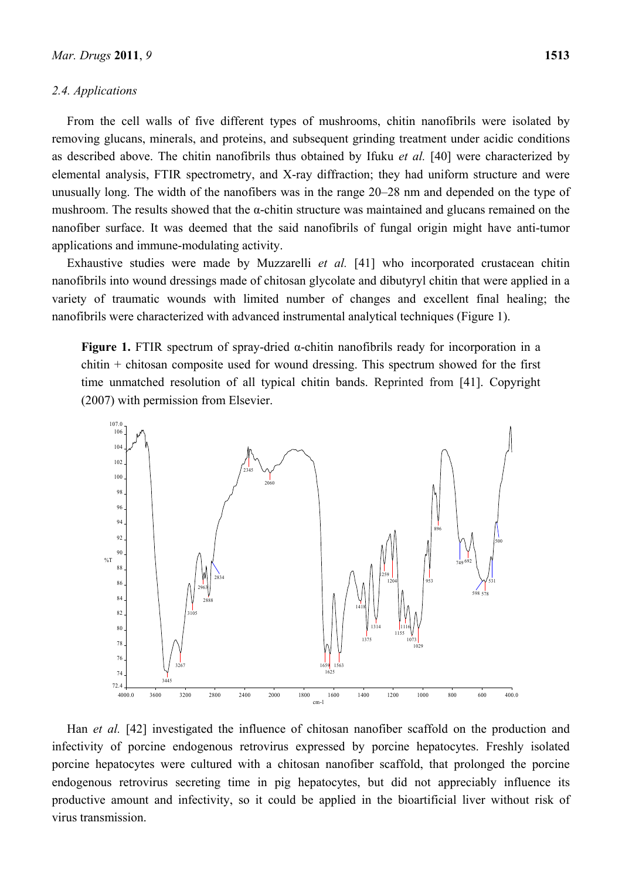## *2.4. Applications*

From the cell walls of five different types of mushrooms, chitin nanofibrils were isolated by removing glucans, minerals, and proteins, and subsequent grinding treatment under acidic conditions as described above. The chitin nanofibrils thus obtained by Ifuku *et al.* [40] were characterized by elemental analysis, FTIR spectrometry, and X-ray diffraction; they had uniform structure and were unusually long. The width of the nanofibers was in the range 20–28 nm and depended on the type of mushroom. The results showed that the  $\alpha$ -chitin structure was maintained and glucans remained on the nanofiber surface. It was deemed that the said nanofibrils of fungal origin might have anti-tumor applications and immune-modulating activity.

Exhaustive studies were made by Muzzarelli *et al.* [41] who incorporated crustacean chitin nanofibrils into wound dressings made of chitosan glycolate and dibutyryl chitin that were applied in a variety of traumatic wounds with limited number of changes and excellent final healing; the nanofibrils were characterized with advanced instrumental analytical techniques (Figure 1).

**Figure 1.** FTIR spectrum of spray-dried α-chitin nanofibrils ready for incorporation in a chitin + chitosan composite used for wound dressing. This spectrum showed for the first time unmatched resolution of all typical chitin bands. Reprinted from [41]. Copyright (2007) with permission from Elsevier.



Han *et al.* [42] investigated the influence of chitosan nanofiber scaffold on the production and infectivity of porcine endogenous retrovirus expressed by porcine hepatocytes. Freshly isolated porcine hepatocytes were cultured with a chitosan nanofiber scaffold, that prolonged the porcine endogenous retrovirus secreting time in pig hepatocytes, but did not appreciably influence its productive amount and infectivity, so it could be applied in the bioartificial liver without risk of virus transmission.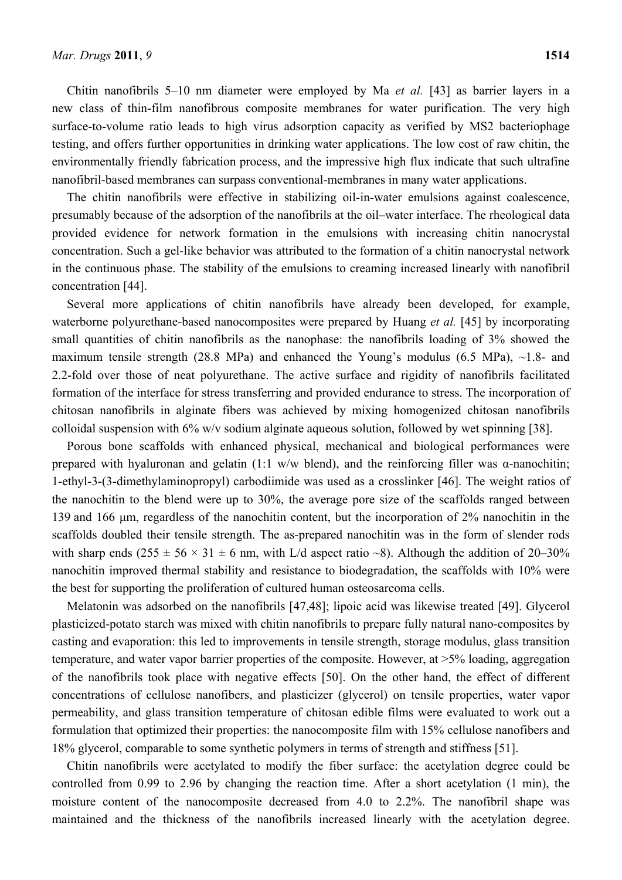Chitin nanofibrils 5–10 nm diameter were employed by Ma *et al.* [43] as barrier layers in a new class of thin-film nanofibrous composite membranes for water purification. The very high surface-to-volume ratio leads to high virus adsorption capacity as verified by MS2 bacteriophage testing, and offers further opportunities in drinking water applications. The low cost of raw chitin, the environmentally friendly fabrication process, and the impressive high flux indicate that such ultrafine nanofibril-based membranes can surpass conventional-membranes in many water applications.

The chitin nanofibrils were effective in stabilizing oil-in-water emulsions against coalescence, presumably because of the adsorption of the nanofibrils at the oil–water interface. The rheological data provided evidence for network formation in the emulsions with increasing chitin nanocrystal concentration. Such a gel-like behavior was attributed to the formation of a chitin nanocrystal network in the continuous phase. The stability of the emulsions to creaming increased linearly with nanofibril concentration [44].

Several more applications of chitin nanofibrils have already been developed, for example, waterborne polyurethane-based nanocomposites were prepared by Huang *et al.* [45] by incorporating small quantities of chitin nanofibrils as the nanophase: the nanofibrils loading of 3% showed the maximum tensile strength (28.8 MPa) and enhanced the Young's modulus (6.5 MPa),  $\sim$ 1.8- and 2.2-fold over those of neat polyurethane. The active surface and rigidity of nanofibrils facilitated formation of the interface for stress transferring and provided endurance to stress. The incorporation of chitosan nanofibrils in alginate fibers was achieved by mixing homogenized chitosan nanofibrils colloidal suspension with 6% w/v sodium alginate aqueous solution, followed by wet spinning [38].

Porous bone scaffolds with enhanced physical, mechanical and biological performances were prepared with hyaluronan and gelatin (1:1 w/w blend), and the reinforcing filler was  $\alpha$ -nanochitin; 1-ethyl-3-(3-dimethylaminopropyl) carbodiimide was used as a crosslinker [46]. The weight ratios of the nanochitin to the blend were up to 30%, the average pore size of the scaffolds ranged between 139 and 166 μm, regardless of the nanochitin content, but the incorporation of 2% nanochitin in the scaffolds doubled their tensile strength. The as-prepared nanochitin was in the form of slender rods with sharp ends  $(255 \pm 56 \times 31 \pm 6$  nm, with L/d aspect ratio ~8). Although the addition of 20–30% nanochitin improved thermal stability and resistance to biodegradation, the scaffolds with 10% were the best for supporting the proliferation of cultured human osteosarcoma cells.

Melatonin was adsorbed on the nanofibrils [47,48]; lipoic acid was likewise treated [49]. Glycerol plasticized-potato starch was mixed with chitin nanofibrils to prepare fully natural nano-composites by casting and evaporation: this led to improvements in tensile strength, storage modulus, glass transition temperature, and water vapor barrier properties of the composite. However, at >5% loading, aggregation of the nanofibrils took place with negative effects [50]. On the other hand, the effect of different concentrations of cellulose nanofibers, and plasticizer (glycerol) on tensile properties, water vapor permeability, and glass transition temperature of chitosan edible films were evaluated to work out a formulation that optimized their properties: the nanocomposite film with 15% cellulose nanofibers and 18% glycerol, comparable to some synthetic polymers in terms of strength and stiffness [51].

Chitin nanofibrils were acetylated to modify the fiber surface: the acetylation degree could be controlled from 0.99 to 2.96 by changing the reaction time. After a short acetylation (1 min), the moisture content of the nanocomposite decreased from 4.0 to 2.2%. The nanofibril shape was maintained and the thickness of the nanofibrils increased linearly with the acetylation degree.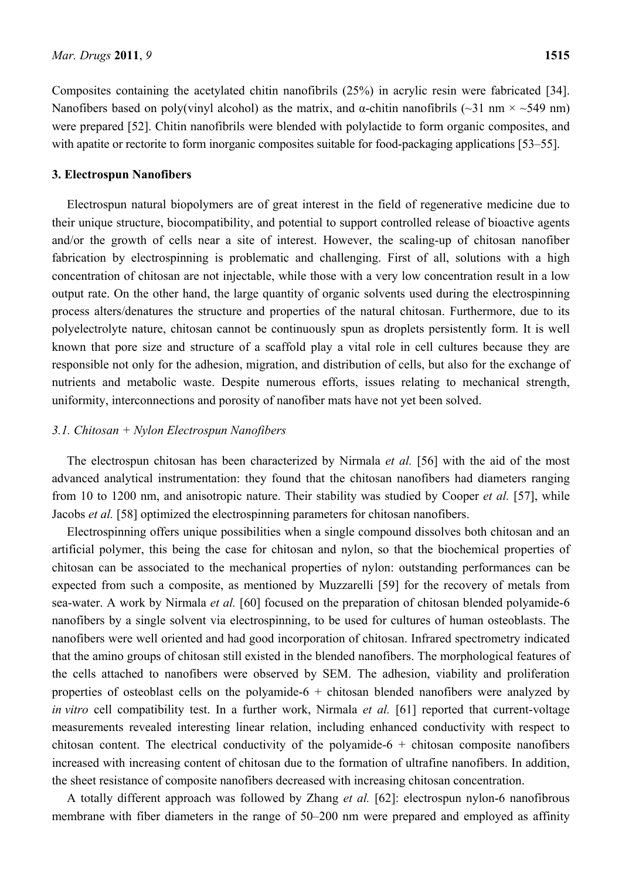Composites containing the acetylated chitin nanofibrils (25%) in acrylic resin were fabricated [34]. Nanofibers based on poly(vinyl alcohol) as the matrix, and  $\alpha$ -chitin nanofibrils (~31 nm × ~549 nm) were prepared [52]. Chitin nanofibrils were blended with polylactide to form organic composites, and with apatite or rectorite to form inorganic composites suitable for food-packaging applications [53–55].

#### **3. Electrospun Nanofibers**

Electrospun natural biopolymers are of great interest in the field of regenerative medicine due to their unique structure, biocompatibility, and potential to support controlled release of bioactive agents and/or the growth of cells near a site of interest. However, the scaling-up of chitosan nanofiber fabrication by electrospinning is problematic and challenging. First of all, solutions with a high concentration of chitosan are not injectable, while those with a very low concentration result in a low output rate. On the other hand, the large quantity of organic solvents used during the electrospinning process alters/denatures the structure and properties of the natural chitosan. Furthermore, due to its polyelectrolyte nature, chitosan cannot be continuously spun as droplets persistently form. It is well known that pore size and structure of a scaffold play a vital role in cell cultures because they are responsible not only for the adhesion, migration, and distribution of cells, but also for the exchange of nutrients and metabolic waste. Despite numerous efforts, issues relating to mechanical strength, uniformity, interconnections and porosity of nanofiber mats have not yet been solved.

#### *3.1. Chitosan + Nylon Electrospun Nanofibers*

The electrospun chitosan has been characterized by Nirmala *et al.* [56] with the aid of the most advanced analytical instrumentation: they found that the chitosan nanofibers had diameters ranging from 10 to 1200 nm, and anisotropic nature. Their stability was studied by Cooper *et al.* [57], while Jacobs *et al.* [58] optimized the electrospinning parameters for chitosan nanofibers.

Electrospinning offers unique possibilities when a single compound dissolves both chitosan and an artificial polymer, this being the case for chitosan and nylon, so that the biochemical properties of chitosan can be associated to the mechanical properties of nylon: outstanding performances can be expected from such a composite, as mentioned by Muzzarelli [59] for the recovery of metals from sea-water. A work by Nirmala *et al.* [60] focused on the preparation of chitosan blended polyamide-6 nanofibers by a single solvent via electrospinning, to be used for cultures of human osteoblasts. The nanofibers were well oriented and had good incorporation of chitosan. Infrared spectrometry indicated that the amino groups of chitosan still existed in the blended nanofibers. The morphological features of the cells attached to nanofibers were observed by SEM. The adhesion, viability and proliferation properties of osteoblast cells on the polyamide- $6 +$  chitosan blended nanofibers were analyzed by *in vitro* cell compatibility test. In a further work, Nirmala *et al.* [61] reported that current-voltage measurements revealed interesting linear relation, including enhanced conductivity with respect to chitosan content. The electrical conductivity of the polyamide- $6 +$  chitosan composite nanofibers increased with increasing content of chitosan due to the formation of ultrafine nanofibers. In addition, the sheet resistance of composite nanofibers decreased with increasing chitosan concentration.

A totally different approach was followed by Zhang *et al.* [62]: electrospun nylon-6 nanofibrous membrane with fiber diameters in the range of 50–200 nm were prepared and employed as affinity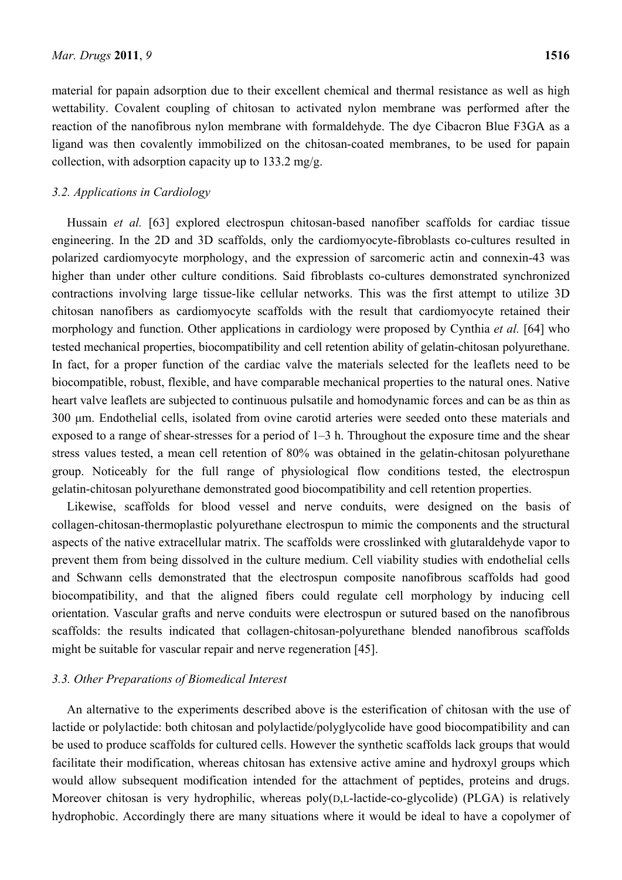material for papain adsorption due to their excellent chemical and thermal resistance as well as high wettability. Covalent coupling of chitosan to activated nylon membrane was performed after the reaction of the nanofibrous nylon membrane with formaldehyde. The dye Cibacron Blue F3GA as a ligand was then covalently immobilized on the chitosan-coated membranes, to be used for papain collection, with adsorption capacity up to 133.2 mg/g.

# *3.2. Applications in Cardiology*

Hussain *et al.* [63] explored electrospun chitosan-based nanofiber scaffolds for cardiac tissue engineering. In the 2D and 3D scaffolds, only the cardiomyocyte-fibroblasts co-cultures resulted in polarized cardiomyocyte morphology, and the expression of sarcomeric actin and connexin-43 was higher than under other culture conditions. Said fibroblasts co-cultures demonstrated synchronized contractions involving large tissue-like cellular networks. This was the first attempt to utilize 3D chitosan nanofibers as cardiomyocyte scaffolds with the result that cardiomyocyte retained their morphology and function. Other applications in cardiology were proposed by Cynthia *et al.* [64] who tested mechanical properties, biocompatibility and cell retention ability of gelatin-chitosan polyurethane. In fact, for a proper function of the cardiac valve the materials selected for the leaflets need to be biocompatible, robust, flexible, and have comparable mechanical properties to the natural ones. Native heart valve leaflets are subjected to continuous pulsatile and homodynamic forces and can be as thin as 300 μm. Endothelial cells, isolated from ovine carotid arteries were seeded onto these materials and exposed to a range of shear-stresses for a period of 1–3 h. Throughout the exposure time and the shear stress values tested, a mean cell retention of 80% was obtained in the gelatin-chitosan polyurethane group. Noticeably for the full range of physiological flow conditions tested, the electrospun gelatin-chitosan polyurethane demonstrated good biocompatibility and cell retention properties.

Likewise, scaffolds for blood vessel and nerve conduits, were designed on the basis of collagen-chitosan-thermoplastic polyurethane electrospun to mimic the components and the structural aspects of the native extracellular matrix. The scaffolds were crosslinked with glutaraldehyde vapor to prevent them from being dissolved in the culture medium. Cell viability studies with endothelial cells and Schwann cells demonstrated that the electrospun composite nanofibrous scaffolds had good biocompatibility, and that the aligned fibers could regulate cell morphology by inducing cell orientation. Vascular grafts and nerve conduits were electrospun or sutured based on the nanofibrous scaffolds: the results indicated that collagen-chitosan-polyurethane blended nanofibrous scaffolds might be suitable for vascular repair and nerve regeneration [45].

## *3.3. Other Preparations of Biomedical Interest*

An alternative to the experiments described above is the esterification of chitosan with the use of lactide or polylactide: both chitosan and polylactide/polyglycolide have good biocompatibility and can be used to produce scaffolds for cultured cells. However the synthetic scaffolds lack groups that would facilitate their modification, whereas chitosan has extensive active amine and hydroxyl groups which would allow subsequent modification intended for the attachment of peptides, proteins and drugs. Moreover chitosan is very hydrophilic, whereas poly(D,L-lactide-co-glycolide) (PLGA) is relatively hydrophobic. Accordingly there are many situations where it would be ideal to have a copolymer of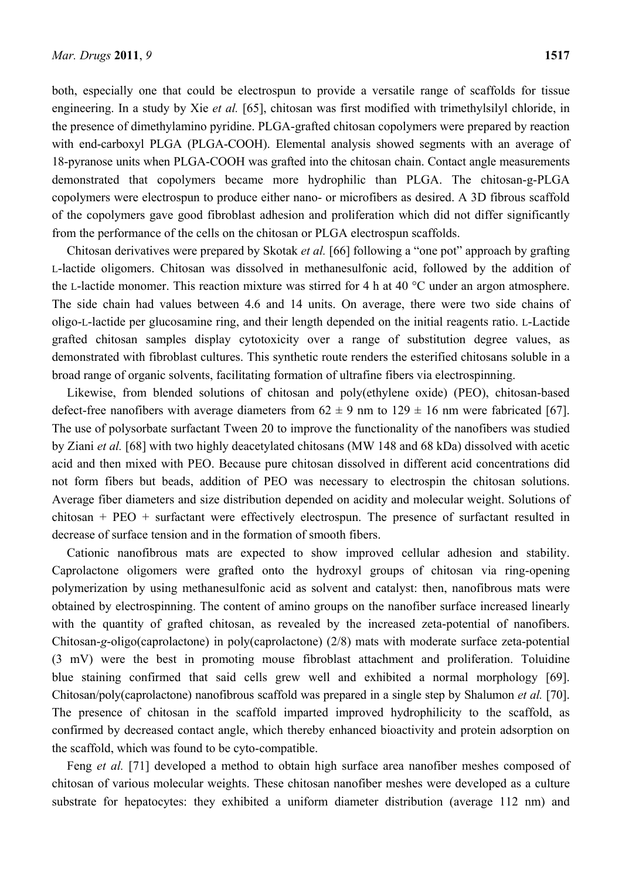both, especially one that could be electrospun to provide a versatile range of scaffolds for tissue engineering. In a study by Xie *et al.* [65], chitosan was first modified with trimethylsilyl chloride, in the presence of dimethylamino pyridine. PLGA-grafted chitosan copolymers were prepared by reaction with end-carboxyl PLGA (PLGA-COOH). Elemental analysis showed segments with an average of 18-pyranose units when PLGA-COOH was grafted into the chitosan chain. Contact angle measurements demonstrated that copolymers became more hydrophilic than PLGA. The chitosan-g-PLGA copolymers were electrospun to produce either nano- or microfibers as desired. A 3D fibrous scaffold of the copolymers gave good fibroblast adhesion and proliferation which did not differ significantly from the performance of the cells on the chitosan or PLGA electrospun scaffolds.

Chitosan derivatives were prepared by Skotak *et al.* [66] following a "one pot" approach by grafting L-lactide oligomers. Chitosan was dissolved in methanesulfonic acid, followed by the addition of the L-lactide monomer. This reaction mixture was stirred for 4 h at 40 °C under an argon atmosphere. The side chain had values between 4.6 and 14 units. On average, there were two side chains of oligo-L-lactide per glucosamine ring, and their length depended on the initial reagents ratio. L-Lactide grafted chitosan samples display cytotoxicity over a range of substitution degree values, as demonstrated with fibroblast cultures. This synthetic route renders the esterified chitosans soluble in a broad range of organic solvents, facilitating formation of ultrafine fibers via electrospinning.

Likewise, from blended solutions of chitosan and poly(ethylene oxide) (PEO), chitosan-based defect-free nanofibers with average diameters from  $62 \pm 9$  nm to  $129 \pm 16$  nm were fabricated [67]. The use of polysorbate surfactant Tween 20 to improve the functionality of the nanofibers was studied by Ziani *et al.* [68] with two highly deacetylated chitosans (MW 148 and 68 kDa) dissolved with acetic acid and then mixed with PEO. Because pure chitosan dissolved in different acid concentrations did not form fibers but beads, addition of PEO was necessary to electrospin the chitosan solutions. Average fiber diameters and size distribution depended on acidity and molecular weight. Solutions of chitosan + PEO + surfactant were effectively electrospun. The presence of surfactant resulted in decrease of surface tension and in the formation of smooth fibers.

Cationic nanofibrous mats are expected to show improved cellular adhesion and stability. Caprolactone oligomers were grafted onto the hydroxyl groups of chitosan via ring-opening polymerization by using methanesulfonic acid as solvent and catalyst: then, nanofibrous mats were obtained by electrospinning. The content of amino groups on the nanofiber surface increased linearly with the quantity of grafted chitosan, as revealed by the increased zeta-potential of nanofibers. Chitosan-*g*-oligo(caprolactone) in poly(caprolactone) (2/8) mats with moderate surface zeta-potential (3 mV) were the best in promoting mouse fibroblast attachment and proliferation. Toluidine blue staining confirmed that said cells grew well and exhibited a normal morphology [69]. Chitosan/poly(caprolactone) nanofibrous scaffold was prepared in a single step by Shalumon *et al.* [70]. The presence of chitosan in the scaffold imparted improved hydrophilicity to the scaffold, as confirmed by decreased contact angle, which thereby enhanced bioactivity and protein adsorption on the scaffold, which was found to be cyto-compatible.

Feng *et al.* [71] developed a method to obtain high surface area nanofiber meshes composed of chitosan of various molecular weights. These chitosan nanofiber meshes were developed as a culture substrate for hepatocytes: they exhibited a uniform diameter distribution (average 112 nm) and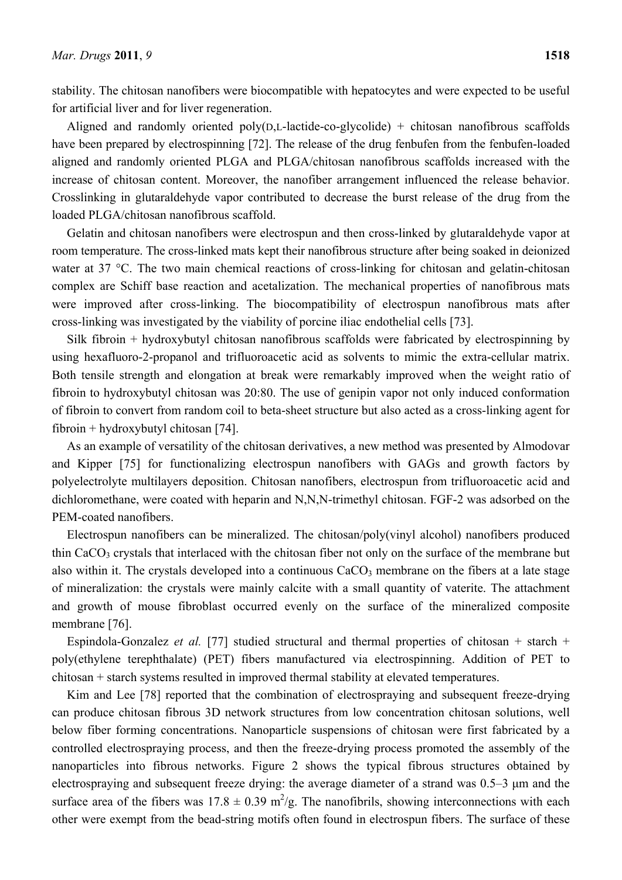stability. The chitosan nanofibers were biocompatible with hepatocytes and were expected to be useful for artificial liver and for liver regeneration.

Aligned and randomly oriented  $poly(D,L-lactic-co-glycolide)$  + chitosan nanofibrous scaffolds have been prepared by electrospinning [72]. The release of the drug fenbufen from the fenbufen-loaded aligned and randomly oriented PLGA and PLGA/chitosan nanofibrous scaffolds increased with the increase of chitosan content. Moreover, the nanofiber arrangement influenced the release behavior. Crosslinking in glutaraldehyde vapor contributed to decrease the burst release of the drug from the loaded PLGA/chitosan nanofibrous scaffold.

Gelatin and chitosan nanofibers were electrospun and then cross-linked by glutaraldehyde vapor at room temperature. The cross-linked mats kept their nanofibrous structure after being soaked in deionized water at 37 °C. The two main chemical reactions of cross-linking for chitosan and gelatin-chitosan complex are Schiff base reaction and acetalization. The mechanical properties of nanofibrous mats were improved after cross-linking. The biocompatibility of electrospun nanofibrous mats after cross-linking was investigated by the viability of porcine iliac endothelial cells [73].

Silk fibroin + hydroxybutyl chitosan nanofibrous scaffolds were fabricated by electrospinning by using hexafluoro-2-propanol and trifluoroacetic acid as solvents to mimic the extra-cellular matrix. Both tensile strength and elongation at break were remarkably improved when the weight ratio of fibroin to hydroxybutyl chitosan was 20:80. The use of genipin vapor not only induced conformation of fibroin to convert from random coil to beta-sheet structure but also acted as a cross-linking agent for fibroin + hydroxybutyl chitosan [74].

As an example of versatility of the chitosan derivatives, a new method was presented by Almodovar and Kipper [75] for functionalizing electrospun nanofibers with GAGs and growth factors by polyelectrolyte multilayers deposition. Chitosan nanofibers, electrospun from trifluoroacetic acid and dichloromethane, were coated with heparin and N,N,N-trimethyl chitosan. FGF-2 was adsorbed on the PEM-coated nanofibers.

Electrospun nanofibers can be mineralized. The chitosan/poly(vinyl alcohol) nanofibers produced thin CaCO<sub>3</sub> crystals that interlaced with the chitosan fiber not only on the surface of the membrane but also within it. The crystals developed into a continuous  $CaCO<sub>3</sub>$  membrane on the fibers at a late stage of mineralization: the crystals were mainly calcite with a small quantity of vaterite. The attachment and growth of mouse fibroblast occurred evenly on the surface of the mineralized composite membrane [76].

Espindola-Gonzalez *et al.* [77] studied structural and thermal properties of chitosan + starch + poly(ethylene terephthalate) (PET) fibers manufactured via electrospinning. Addition of PET to chitosan + starch systems resulted in improved thermal stability at elevated temperatures.

Kim and Lee [78] reported that the combination of electrospraying and subsequent freeze-drying can produce chitosan fibrous 3D network structures from low concentration chitosan solutions, well below fiber forming concentrations. Nanoparticle suspensions of chitosan were first fabricated by a controlled electrospraying process, and then the freeze-drying process promoted the assembly of the nanoparticles into fibrous networks. Figure 2 shows the typical fibrous structures obtained by electrospraying and subsequent freeze drying: the average diameter of a strand was 0.5–3 μm and the surface area of the fibers was  $17.8 \pm 0.39$  m<sup>2</sup>/g. The nanofibrils, showing interconnections with each other were exempt from the bead-string motifs often found in electrospun fibers. The surface of these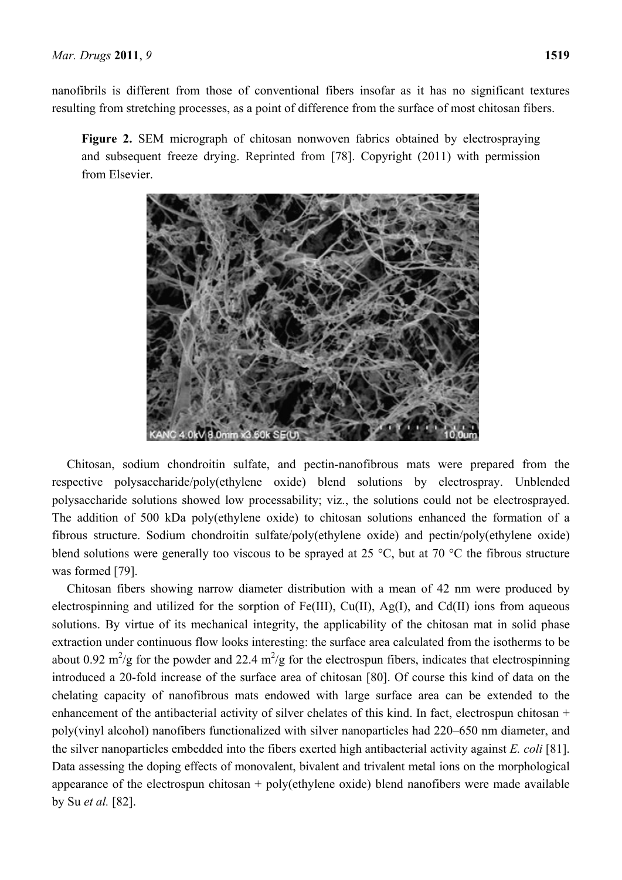nanofibrils is different from those of conventional fibers insofar as it has no significant textures resulting from stretching processes, as a point of difference from the surface of most chitosan fibers.

**Figure 2.** SEM micrograph of chitosan nonwoven fabrics obtained by electrospraying and subsequent freeze drying. Reprinted from [78]. Copyright (2011) with permission from Elsevier.



Chitosan, sodium chondroitin sulfate, and pectin-nanofibrous mats were prepared from the respective polysaccharide/poly(ethylene oxide) blend solutions by electrospray. Unblended polysaccharide solutions showed low processability; viz., the solutions could not be electrosprayed. The addition of 500 kDa poly(ethylene oxide) to chitosan solutions enhanced the formation of a fibrous structure. Sodium chondroitin sulfate/poly(ethylene oxide) and pectin/poly(ethylene oxide) blend solutions were generally too viscous to be sprayed at 25 °C, but at 70 °C the fibrous structure was formed [79].

Chitosan fibers showing narrow diameter distribution with a mean of 42 nm were produced by electrospinning and utilized for the sorption of Fe(III), Cu(II), Ag(I), and Cd(II) ions from aqueous solutions. By virtue of its mechanical integrity, the applicability of the chitosan mat in solid phase extraction under continuous flow looks interesting: the surface area calculated from the isotherms to be about 0.92 m<sup>2</sup>/g for the powder and 22.4 m<sup>2</sup>/g for the electrospun fibers, indicates that electrospinning introduced a 20-fold increase of the surface area of chitosan [80]. Of course this kind of data on the chelating capacity of nanofibrous mats endowed with large surface area can be extended to the enhancement of the antibacterial activity of silver chelates of this kind. In fact, electrospun chitosan + poly(vinyl alcohol) nanofibers functionalized with silver nanoparticles had 220–650 nm diameter, and the silver nanoparticles embedded into the fibers exerted high antibacterial activity against *E. coli* [81]. Data assessing the doping effects of monovalent, bivalent and trivalent metal ions on the morphological appearance of the electrospun chitosan  $+$  poly(ethylene oxide) blend nanofibers were made available by Su *et al.* [82].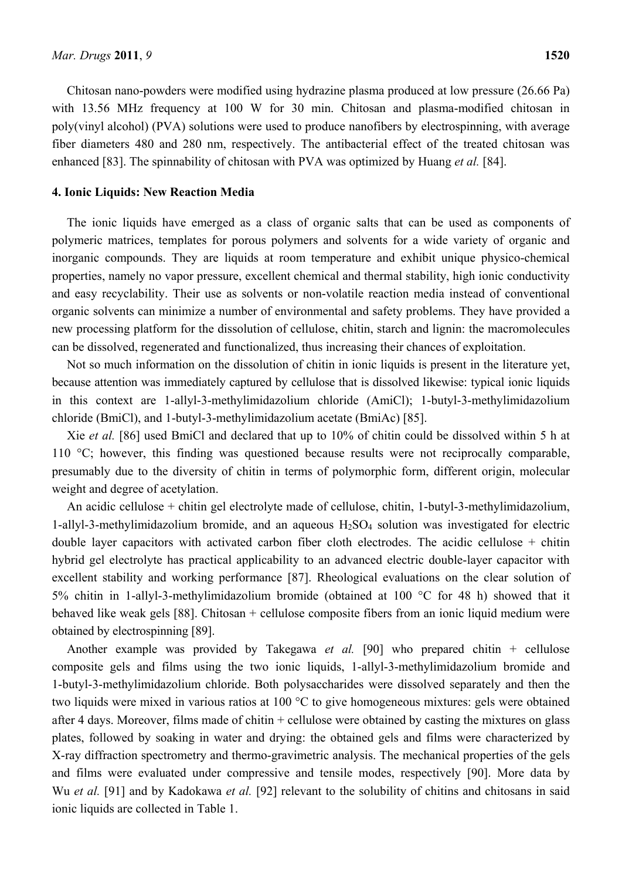Chitosan nano-powders were modified using hydrazine plasma produced at low pressure (26.66 Pa) with 13.56 MHz frequency at 100 W for 30 min. Chitosan and plasma-modified chitosan in poly(vinyl alcohol) (PVA) solutions were used to produce nanofibers by electrospinning, with average fiber diameters 480 and 280 nm, respectively. The antibacterial effect of the treated chitosan was enhanced [83]. The spinnability of chitosan with PVA was optimized by Huang *et al.* [84].

#### **4. Ionic Liquids: New Reaction Media**

The ionic liquids have emerged as a class of organic salts that can be used as components of polymeric matrices, templates for porous polymers and solvents for a wide variety of organic and inorganic compounds. They are liquids at room temperature and exhibit unique physico-chemical properties, namely no vapor pressure, excellent chemical and thermal stability, high ionic conductivity and easy recyclability. Their use as solvents or non-volatile reaction media instead of conventional organic solvents can minimize a number of environmental and safety problems. They have provided a new processing platform for the dissolution of cellulose, chitin, starch and lignin: the macromolecules can be dissolved, regenerated and functionalized, thus increasing their chances of exploitation.

Not so much information on the dissolution of chitin in ionic liquids is present in the literature yet, because attention was immediately captured by cellulose that is dissolved likewise: typical ionic liquids in this context are 1-allyl-3-methylimidazolium chloride (AmiCl); 1-butyl-3-methylimidazolium chloride (BmiCl), and 1-butyl-3-methylimidazolium acetate (BmiAc) [85].

Xie *et al.* [86] used BmiCl and declared that up to 10% of chitin could be dissolved within 5 h at 110 °C; however, this finding was questioned because results were not reciprocally comparable, presumably due to the diversity of chitin in terms of polymorphic form, different origin, molecular weight and degree of acetylation.

An acidic cellulose + chitin gel electrolyte made of cellulose, chitin, 1-butyl-3-methylimidazolium, 1-allyl-3-methylimidazolium bromide, and an aqueous H2SO4 solution was investigated for electric double layer capacitors with activated carbon fiber cloth electrodes. The acidic cellulose + chitin hybrid gel electrolyte has practical applicability to an advanced electric double-layer capacitor with excellent stability and working performance [87]. Rheological evaluations on the clear solution of 5% chitin in 1-allyl-3-methylimidazolium bromide (obtained at 100 °C for 48 h) showed that it behaved like weak gels [88]. Chitosan + cellulose composite fibers from an ionic liquid medium were obtained by electrospinning [89].

Another example was provided by Takegawa *et al.* [90] who prepared chitin + cellulose composite gels and films using the two ionic liquids, 1-allyl-3-methylimidazolium bromide and 1-butyl-3-methylimidazolium chloride. Both polysaccharides were dissolved separately and then the two liquids were mixed in various ratios at 100 °C to give homogeneous mixtures: gels were obtained after 4 days. Moreover, films made of chitin + cellulose were obtained by casting the mixtures on glass plates, followed by soaking in water and drying: the obtained gels and films were characterized by X-ray diffraction spectrometry and thermo-gravimetric analysis. The mechanical properties of the gels and films were evaluated under compressive and tensile modes, respectively [90]. More data by Wu *et al.* [91] and by Kadokawa *et al.* [92] relevant to the solubility of chitins and chitosans in said ionic liquids are collected in Table 1.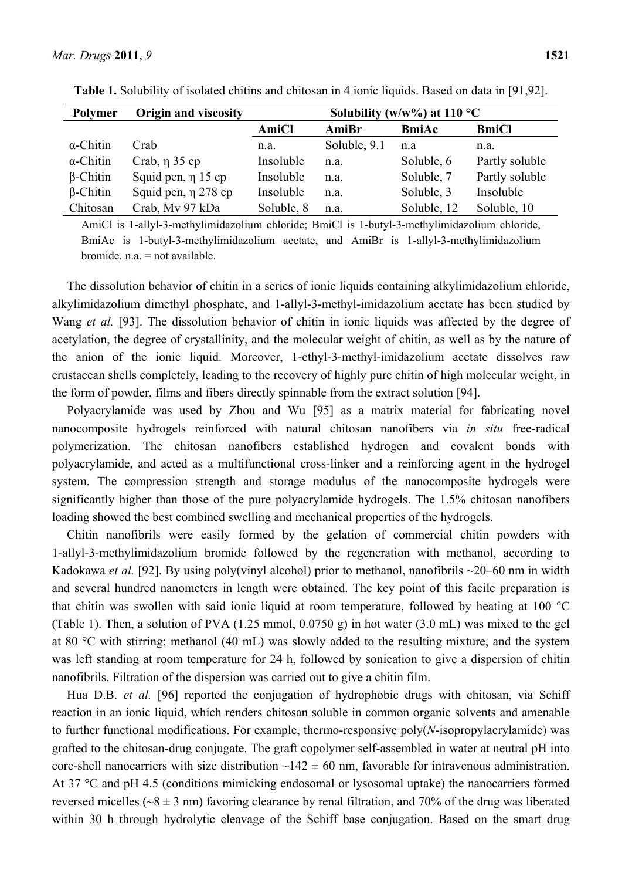|  | u |
|--|---|
|  |   |

| Polymer          | <b>Origin and viscosity</b> | Solubility (w/w%) at $110^{\circ}$ C |              |              |                |  |
|------------------|-----------------------------|--------------------------------------|--------------|--------------|----------------|--|
|                  |                             | AmiCl                                | AmiBr        | <b>BmiAc</b> | <b>BmiCl</b>   |  |
| $\alpha$ -Chitin | Crab                        | n.a.                                 | Soluble, 9.1 | n.a          | n.a.           |  |
| $\alpha$ -Chitin | Crab, $\eta$ 35 cp          | Insoluble                            | n.a.         | Soluble, 6   | Partly soluble |  |
| $\beta$ -Chitin  | Squid pen, $\eta$ 15 cp     | Insoluble                            | n.a.         | Soluble, 7   | Partly soluble |  |
| $\beta$ -Chitin  | Squid pen, $\eta$ 278 cp    | Insoluble                            | n.a.         | Soluble, 3   | Insoluble      |  |
| Chitosan         | Crab, My 97 kDa             | Soluble, 8                           | n.a.         | Soluble, 12  | Soluble, 10    |  |

**Table 1.** Solubility of isolated chitins and chitosan in 4 ionic liquids. Based on data in [91,92].

AmiCl is 1-allyl-3-methylimidazolium chloride; BmiCl is 1-butyl-3-methylimidazolium chloride, BmiAc is 1-butyl-3-methylimidazolium acetate, and AmiBr is 1-allyl-3-methylimidazolium bromide.  $n a = not available$ .

The dissolution behavior of chitin in a series of ionic liquids containing alkylimidazolium chloride, alkylimidazolium dimethyl phosphate, and 1-allyl-3-methyl-imidazolium acetate has been studied by Wang *et al.* [93]. The dissolution behavior of chitin in ionic liquids was affected by the degree of acetylation, the degree of crystallinity, and the molecular weight of chitin, as well as by the nature of the anion of the ionic liquid. Moreover, 1-ethyl-3-methyl-imidazolium acetate dissolves raw crustacean shells completely, leading to the recovery of highly pure chitin of high molecular weight, in the form of powder, films and fibers directly spinnable from the extract solution [94].

Polyacrylamide was used by Zhou and Wu [95] as a matrix material for fabricating novel nanocomposite hydrogels reinforced with natural chitosan nanofibers via *in situ* free-radical polymerization. The chitosan nanofibers established hydrogen and covalent bonds with polyacrylamide, and acted as a multifunctional cross-linker and a reinforcing agent in the hydrogel system. The compression strength and storage modulus of the nanocomposite hydrogels were significantly higher than those of the pure polyacrylamide hydrogels. The 1.5% chitosan nanofibers loading showed the best combined swelling and mechanical properties of the hydrogels.

Chitin nanofibrils were easily formed by the gelation of commercial chitin powders with 1-allyl-3-methylimidazolium bromide followed by the regeneration with methanol, according to Kadokawa *et al.* [92]. By using poly(vinyl alcohol) prior to methanol, nanofibrils ~20–60 nm in width and several hundred nanometers in length were obtained. The key point of this facile preparation is that chitin was swollen with said ionic liquid at room temperature, followed by heating at 100 °C (Table 1). Then, a solution of PVA (1.25 mmol, 0.0750 g) in hot water (3.0 mL) was mixed to the gel at 80 °C with stirring; methanol (40 mL) was slowly added to the resulting mixture, and the system was left standing at room temperature for 24 h, followed by sonication to give a dispersion of chitin nanofibrils. Filtration of the dispersion was carried out to give a chitin film.

Hua D.B. *et al.* [96] reported the conjugation of hydrophobic drugs with chitosan, via Schiff reaction in an ionic liquid, which renders chitosan soluble in common organic solvents and amenable to further functional modifications. For example, thermo-responsive poly(*N*-isopropylacrylamide) was grafted to the chitosan-drug conjugate. The graft copolymer self-assembled in water at neutral pH into core-shell nanocarriers with size distribution  $\sim$ 142  $\pm$  60 nm, favorable for intravenous administration. At 37 °C and pH 4.5 (conditions mimicking endosomal or lysosomal uptake) the nanocarriers formed reversed micelles ( $-8 \pm 3$  nm) favoring clearance by renal filtration, and 70% of the drug was liberated within 30 h through hydrolytic cleavage of the Schiff base conjugation. Based on the smart drug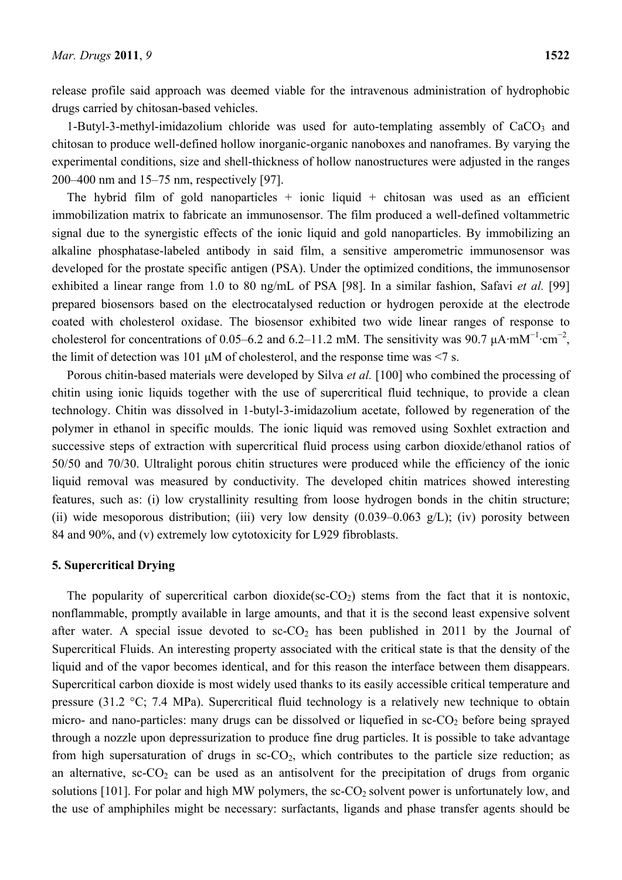release profile said approach was deemed viable for the intravenous administration of hydrophobic drugs carried by chitosan-based vehicles.

1-Butyl-3-methyl-imidazolium chloride was used for auto-templating assembly of  $CaCO<sub>3</sub>$  and chitosan to produce well-defined hollow inorganic-organic nanoboxes and nanoframes. By varying the experimental conditions, size and shell-thickness of hollow nanostructures were adjusted in the ranges 200–400 nm and 15–75 nm, respectively [97].

The hybrid film of gold nanoparticles  $+$  ionic liquid  $+$  chitosan was used as an efficient immobilization matrix to fabricate an immunosensor. The film produced a well-defined voltammetric signal due to the synergistic effects of the ionic liquid and gold nanoparticles. By immobilizing an alkaline phosphatase-labeled antibody in said film, a sensitive amperometric immunosensor was developed for the prostate specific antigen (PSA). Under the optimized conditions, the immunosensor exhibited a linear range from 1.0 to 80 ng/mL of PSA [98]. In a similar fashion, Safavi *et al.* [99] prepared biosensors based on the electrocatalysed reduction or hydrogen peroxide at the electrode coated with cholesterol oxidase. The biosensor exhibited two wide linear ranges of response to cholesterol for concentrations of 0.05–6.2 and 6.2–11.2 mM. The sensitivity was 90.7  $\mu$ A·mM<sup>-1</sup>·cm<sup>-2</sup>, the limit of detection was 101  $\mu$ M of cholesterol, and the response time was <7 s.

Porous chitin-based materials were developed by Silva *et al.* [100] who combined the processing of chitin using ionic liquids together with the use of supercritical fluid technique, to provide a clean technology. Chitin was dissolved in 1-butyl-3-imidazolium acetate, followed by regeneration of the polymer in ethanol in specific moulds. The ionic liquid was removed using Soxhlet extraction and successive steps of extraction with supercritical fluid process using carbon dioxide/ethanol ratios of 50/50 and 70/30. Ultralight porous chitin structures were produced while the efficiency of the ionic liquid removal was measured by conductivity. The developed chitin matrices showed interesting features, such as: (i) low crystallinity resulting from loose hydrogen bonds in the chitin structure; (ii) wide mesoporous distribution; (iii) very low density  $(0.039-0.063 \text{ g/L})$ ; (iv) porosity between 84 and 90%, and (v) extremely low cytotoxicity for L929 fibroblasts.

#### **5. Supercritical Drying**

The popularity of supercritical carbon dioxide(sc- $CO<sub>2</sub>$ ) stems from the fact that it is nontoxic, nonflammable, promptly available in large amounts, and that it is the second least expensive solvent after water. A special issue devoted to  $\text{sc-CO}_2$  has been published in 2011 by the Journal of Supercritical Fluids. An interesting property associated with the critical state is that the density of the liquid and of the vapor becomes identical, and for this reason the interface between them disappears. Supercritical carbon dioxide is most widely used thanks to its easily accessible critical temperature and pressure (31.2 °C; 7.4 MPa). Supercritical fluid technology is a relatively new technique to obtain micro- and nano-particles: many drugs can be dissolved or liquefied in  $\sec CO_2$  before being sprayed through a nozzle upon depressurization to produce fine drug particles. It is possible to take advantage from high supersaturation of drugs in  $\text{sc-CO}_2$ , which contributes to the particle size reduction; as an alternative,  $\text{sc-CO}_2$  can be used as an antisolvent for the precipitation of drugs from organic solutions [101]. For polar and high MW polymers, the  $\text{sc-CO}_2$  solvent power is unfortunately low, and the use of amphiphiles might be necessary: surfactants, ligands and phase transfer agents should be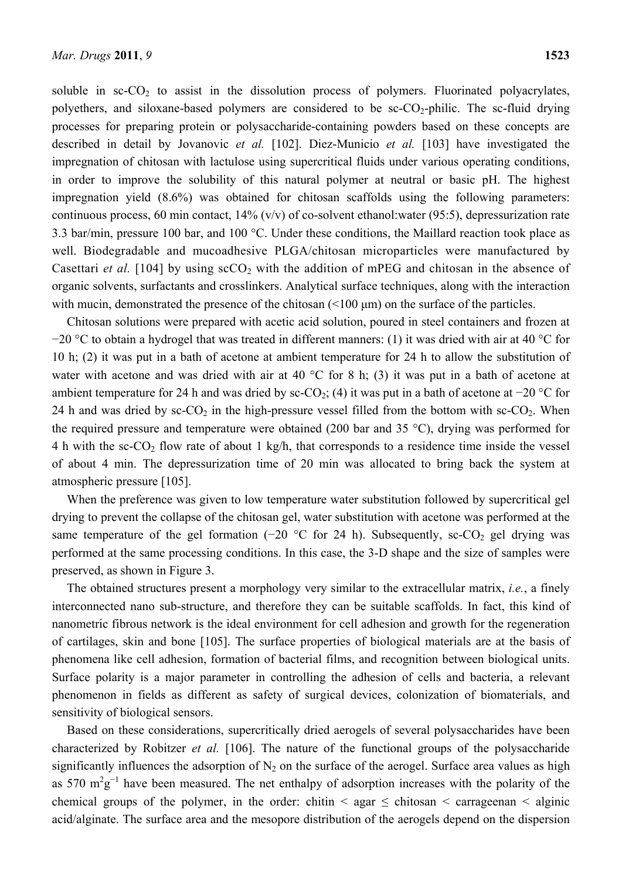soluble in  $\sec CO_2$  to assist in the dissolution process of polymers. Fluorinated polyacrylates, polyethers, and siloxane-based polymers are considered to be  $\text{sc-CO}_2$ -philic. The sc-fluid drying processes for preparing protein or polysaccharide-containing powders based on these concepts are described in detail by Jovanovic *et al.* [102]. Diez-Municio *et al.* [103] have investigated the impregnation of chitosan with lactulose using supercritical fluids under various operating conditions, in order to improve the solubility of this natural polymer at neutral or basic pH. The highest impregnation yield (8.6%) was obtained for chitosan scaffolds using the following parameters: continuous process, 60 min contact, 14% (v/v) of co-solvent ethanol:water (95:5), depressurization rate 3.3 bar/min, pressure 100 bar, and 100 °C. Under these conditions, the Maillard reaction took place as well. Biodegradable and mucoadhesive PLGA/chitosan microparticles were manufactured by Casettari *et al.* [104] by using  $\sec O_2$  with the addition of mPEG and chitosan in the absence of organic solvents, surfactants and crosslinkers. Analytical surface techniques, along with the interaction with mucin, demonstrated the presence of the chitosan (<100 μm) on the surface of the particles.

Chitosan solutions were prepared with acetic acid solution, poured in steel containers and frozen at −20 °C to obtain a hydrogel that was treated in different manners: (1) it was dried with air at 40 °C for 10 h; (2) it was put in a bath of acetone at ambient temperature for 24 h to allow the substitution of water with acetone and was dried with air at 40 °C for 8 h; (3) it was put in a bath of acetone at ambient temperature for 24 h and was dried by sc-CO<sub>2</sub>; (4) it was put in a bath of acetone at −20 °C for 24 h and was dried by  $\text{sc-CO}_2$  in the high-pressure vessel filled from the bottom with  $\text{sc-CO}_2$ . When the required pressure and temperature were obtained (200 bar and 35 °C), drying was performed for 4 h with the sc-CO<sub>2</sub> flow rate of about 1 kg/h, that corresponds to a residence time inside the vessel of about 4 min. The depressurization time of 20 min was allocated to bring back the system at atmospheric pressure [105].

When the preference was given to low temperature water substitution followed by supercritical gel drying to prevent the collapse of the chitosan gel, water substitution with acetone was performed at the same temperature of the gel formation (−20  $\degree$ C for 24 h). Subsequently, sc-CO<sub>2</sub> gel drying was performed at the same processing conditions. In this case, the 3-D shape and the size of samples were preserved, as shown in Figure 3.

The obtained structures present a morphology very similar to the extracellular matrix, *i.e.*, a finely interconnected nano sub-structure, and therefore they can be suitable scaffolds. In fact, this kind of nanometric fibrous network is the ideal environment for cell adhesion and growth for the regeneration of cartilages, skin and bone [105]. The surface properties of biological materials are at the basis of phenomena like cell adhesion, formation of bacterial films, and recognition between biological units. Surface polarity is a major parameter in controlling the adhesion of cells and bacteria, a relevant phenomenon in fields as different as safety of surgical devices, colonization of biomaterials, and sensitivity of biological sensors.

Based on these considerations, supercritically dried aerogels of several polysaccharides have been characterized by Robitzer *et al.* [106]. The nature of the functional groups of the polysaccharide significantly influences the adsorption of  $N_2$  on the surface of the aerogel. Surface area values as high as 570  $m^2g^{-1}$  have been measured. The net enthalpy of adsorption increases with the polarity of the chemical groups of the polymer, in the order: chitin  $\leq$  agar  $\leq$  chitosan  $\leq$  carrageenan  $\leq$  alginic acid/alginate. The surface area and the mesopore distribution of the aerogels depend on the dispersion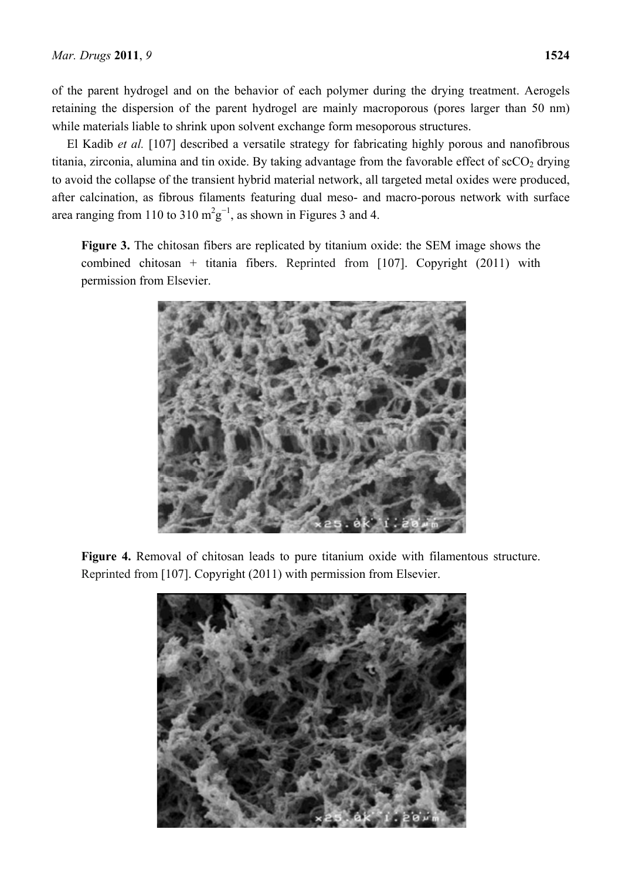of the parent hydrogel and on the behavior of each polymer during the drying treatment. Aerogels retaining the dispersion of the parent hydrogel are mainly macroporous (pores larger than 50 nm) while materials liable to shrink upon solvent exchange form mesoporous structures.

El Kadib *et al.* [107] described a versatile strategy for fabricating highly porous and nanofibrous titania, zirconia, alumina and tin oxide. By taking advantage from the favorable effect of  $\sec O_2$  drying to avoid the collapse of the transient hybrid material network, all targeted metal oxides were produced, after calcination, as fibrous filaments featuring dual meso- and macro-porous network with surface area ranging from 110 to 310  $m^2g^{-1}$ , as shown in Figures 3 and 4.

**Figure 3.** The chitosan fibers are replicated by titanium oxide: the SEM image shows the combined chitosan + titania fibers. Reprinted from [107]. Copyright (2011) with permission from Elsevier.



**Figure 4.** Removal of chitosan leads to pure titanium oxide with filamentous structure. Reprinted from [107]. Copyright (2011) with permission from Elsevier.

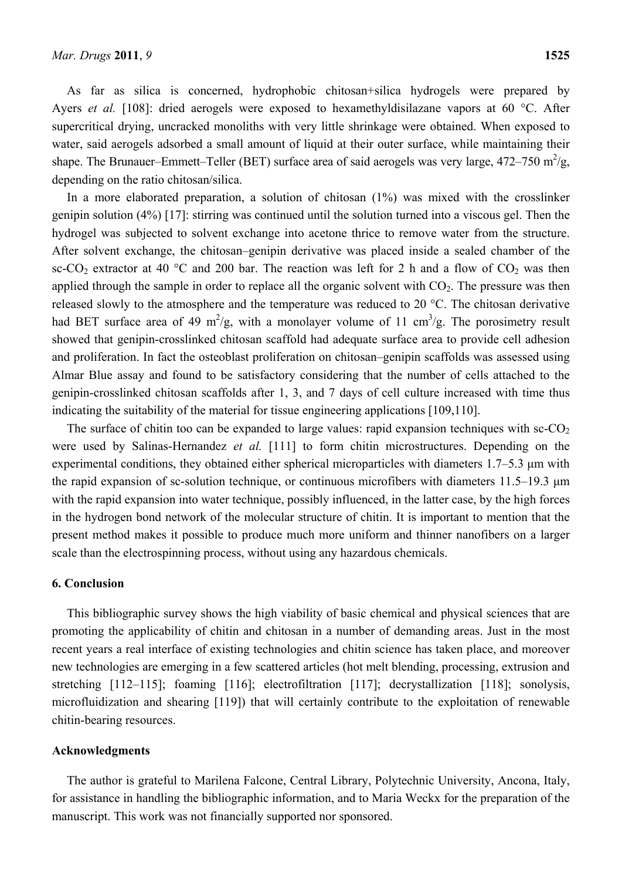As far as silica is concerned, hydrophobic chitosan+silica hydrogels were prepared by Ayers *et al.* [108]: dried aerogels were exposed to hexamethyldisilazane vapors at 60 °C. After supercritical drying, uncracked monoliths with very little shrinkage were obtained. When exposed to water, said aerogels adsorbed a small amount of liquid at their outer surface, while maintaining their shape. The Brunauer–Emmett–Teller (BET) surface area of said aerogels was very large,  $472-750$  m<sup>2</sup>/g, depending on the ratio chitosan/silica.

In a more elaborated preparation, a solution of chitosan (1%) was mixed with the crosslinker genipin solution (4%) [17]: stirring was continued until the solution turned into a viscous gel. Then the hydrogel was subjected to solvent exchange into acetone thrice to remove water from the structure. After solvent exchange, the chitosan–genipin derivative was placed inside a sealed chamber of the sc-CO<sub>2</sub> extractor at 40 °C and 200 bar. The reaction was left for 2 h and a flow of CO<sub>2</sub> was then applied through the sample in order to replace all the organic solvent with  $CO<sub>2</sub>$ . The pressure was then released slowly to the atmosphere and the temperature was reduced to 20 °C. The chitosan derivative had BET surface area of 49 m<sup>2</sup>/g, with a monolayer volume of 11 cm<sup>3</sup>/g. The porosimetry result showed that genipin-crosslinked chitosan scaffold had adequate surface area to provide cell adhesion and proliferation. In fact the osteoblast proliferation on chitosan–genipin scaffolds was assessed using Almar Blue assay and found to be satisfactory considering that the number of cells attached to the genipin-crosslinked chitosan scaffolds after 1, 3, and 7 days of cell culture increased with time thus indicating the suitability of the material for tissue engineering applications [109,110].

The surface of chitin too can be expanded to large values: rapid expansion techniques with  $\text{sc-CO}_2$ were used by Salinas-Hernandez *et al.* [111] to form chitin microstructures. Depending on the experimental conditions, they obtained either spherical microparticles with diameters 1.7–5.3 μm with the rapid expansion of sc-solution technique, or continuous microfibers with diameters 11.5–19.3 μm with the rapid expansion into water technique, possibly influenced, in the latter case, by the high forces in the hydrogen bond network of the molecular structure of chitin. It is important to mention that the present method makes it possible to produce much more uniform and thinner nanofibers on a larger scale than the electrospinning process, without using any hazardous chemicals.

#### **6. Conclusion**

This bibliographic survey shows the high viability of basic chemical and physical sciences that are promoting the applicability of chitin and chitosan in a number of demanding areas. Just in the most recent years a real interface of existing technologies and chitin science has taken place, and moreover new technologies are emerging in a few scattered articles (hot melt blending, processing, extrusion and stretching [112–115]; foaming [116]; electrofiltration [117]; decrystallization [118]; sonolysis, microfluidization and shearing [119]) that will certainly contribute to the exploitation of renewable chitin-bearing resources.

# **Acknowledgments**

The author is grateful to Marilena Falcone, Central Library, Polytechnic University, Ancona, Italy, for assistance in handling the bibliographic information, and to Maria Weckx for the preparation of the manuscript. This work was not financially supported nor sponsored.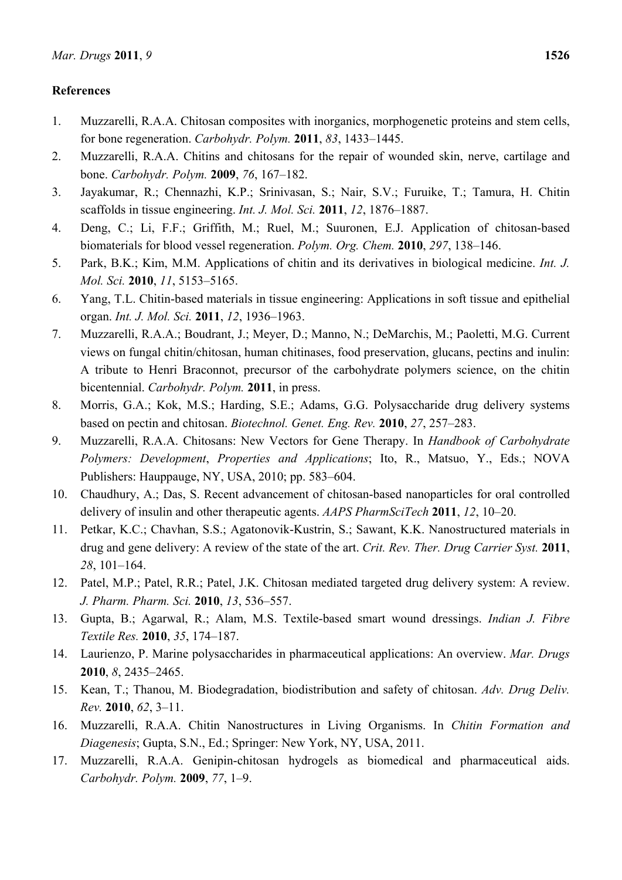# **References**

- 1. Muzzarelli, R.A.A. Chitosan composites with inorganics, morphogenetic proteins and stem cells, for bone regeneration. *Carbohydr. Polym.* **2011**, *83*, 1433–1445.
- 2. Muzzarelli, R.A.A. Chitins and chitosans for the repair of wounded skin, nerve, cartilage and bone. *Carbohydr. Polym.* **2009**, *76*, 167–182.
- 3. Jayakumar, R.; Chennazhi, K.P.; Srinivasan, S.; Nair, S.V.; Furuike, T.; Tamura, H. Chitin scaffolds in tissue engineering. *Int. J. Mol. Sci.* **2011**, *12*, 1876–1887.
- 4. Deng, C.; Li, F.F.; Griffith, M.; Ruel, M.; Suuronen, E.J. Application of chitosan-based biomaterials for blood vessel regeneration. *Polym. Org. Chem.* **2010**, *297*, 138–146.
- 5. Park, B.K.; Kim, M.M. Applications of chitin and its derivatives in biological medicine. *Int. J. Mol. Sci.* **2010**, *11*, 5153–5165.
- 6. Yang, T.L. Chitin-based materials in tissue engineering: Applications in soft tissue and epithelial organ. *Int. J. Mol. Sci.* **2011**, *12*, 1936–1963.
- 7. Muzzarelli, R.A.A.; Boudrant, J.; Meyer, D.; Manno, N.; DeMarchis, M.; Paoletti, M.G. Current views on fungal chitin/chitosan, human chitinases, food preservation, glucans, pectins and inulin: A tribute to Henri Braconnot, precursor of the carbohydrate polymers science, on the chitin bicentennial. *Carbohydr. Polym.* **2011**, in press.
- 8. Morris, G.A.; Kok, M.S.; Harding, S.E.; Adams, G.G. Polysaccharide drug delivery systems based on pectin and chitosan. *Biotechnol. Genet. Eng. Rev.* **2010**, *27*, 257–283.
- 9. Muzzarelli, R.A.A. Chitosans: New Vectors for Gene Therapy. In *Handbook of Carbohydrate Polymers: Development*, *Properties and Applications*; Ito, R., Matsuo, Y., Eds.; NOVA Publishers: Hauppauge, NY, USA, 2010; pp. 583–604.
- 10. Chaudhury, A.; Das, S. Recent advancement of chitosan-based nanoparticles for oral controlled delivery of insulin and other therapeutic agents. *AAPS PharmSciTech* **2011**, *12*, 10–20.
- 11. Petkar, K.C.; Chavhan, S.S.; Agatonovik-Kustrin, S.; Sawant, K.K. Nanostructured materials in drug and gene delivery: A review of the state of the art. *Crit. Rev. Ther. Drug Carrier Syst.* **2011**, *28*, 101–164.
- 12. Patel, M.P.; Patel, R.R.; Patel, J.K. Chitosan mediated targeted drug delivery system: A review. *J. Pharm. Pharm. Sci.* **2010**, *13*, 536–557.
- 13. Gupta, B.; Agarwal, R.; Alam, M.S. Textile-based smart wound dressings. *Indian J. Fibre Textile Res.* **2010**, *35*, 174–187.
- 14. Laurienzo, P. Marine polysaccharides in pharmaceutical applications: An overview. *Mar. Drugs*  **2010**, *8*, 2435–2465.
- 15. Kean, T.; Thanou, M. Biodegradation, biodistribution and safety of chitosan. *Adv. Drug Deliv. Rev.* **2010**, *62*, 3–11.
- 16. Muzzarelli, R.A.A. Chitin Nanostructures in Living Organisms. In *Chitin Formation and Diagenesis*; Gupta, S.N., Ed.; Springer: New York, NY, USA, 2011.
- 17. Muzzarelli, R.A.A. Genipin-chitosan hydrogels as biomedical and pharmaceutical aids. *Carbohydr. Polym.* **2009**, *77*, 1–9.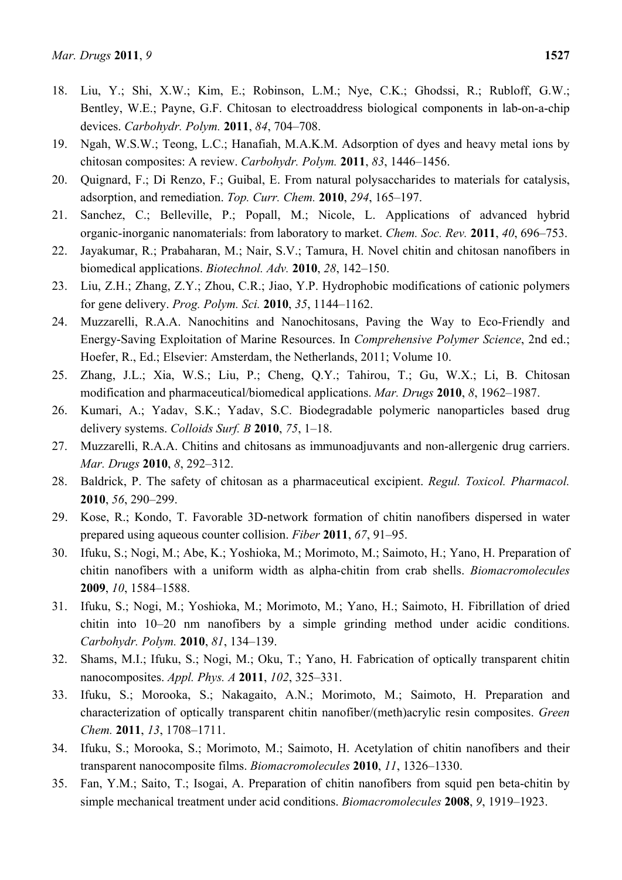- 18. Liu, Y.; Shi, X.W.; Kim, E.; Robinson, L.M.; Nye, C.K.; Ghodssi, R.; Rubloff, G.W.; Bentley, W.E.; Payne, G.F. Chitosan to electroaddress biological components in lab-on-a-chip devices. *Carbohydr. Polym.* **2011**, *84*, 704–708.
- 19. Ngah, W.S.W.; Teong, L.C.; Hanafiah, M.A.K.M. Adsorption of dyes and heavy metal ions by chitosan composites: A review. *Carbohydr. Polym.* **2011**, *83*, 1446–1456.
- 20. Quignard, F.; Di Renzo, F.; Guibal, E. From natural polysaccharides to materials for catalysis, adsorption, and remediation. *Top. Curr. Chem.* **2010**, *294*, 165–197.
- 21. Sanchez, C.; Belleville, P.; Popall, M.; Nicole, L. Applications of advanced hybrid organic-inorganic nanomaterials: from laboratory to market. *Chem. Soc. Rev.* **2011**, *40*, 696–753.
- 22. Jayakumar, R.; Prabaharan, M.; Nair, S.V.; Tamura, H. Novel chitin and chitosan nanofibers in biomedical applications. *Biotechnol. Adv.* **2010**, *28*, 142–150.
- 23. Liu, Z.H.; Zhang, Z.Y.; Zhou, C.R.; Jiao, Y.P. Hydrophobic modifications of cationic polymers for gene delivery. *Prog. Polym. Sci.* **2010**, *35*, 1144–1162.
- 24. Muzzarelli, R.A.A. Nanochitins and Nanochitosans, Paving the Way to Eco-Friendly and Energy-Saving Exploitation of Marine Resources. In *Comprehensive Polymer Science*, 2nd ed.; Hoefer, R., Ed.; Elsevier: Amsterdam, the Netherlands, 2011; Volume 10.
- 25. Zhang, J.L.; Xia, W.S.; Liu, P.; Cheng, Q.Y.; Tahirou, T.; Gu, W.X.; Li, B. Chitosan modification and pharmaceutical/biomedical applications. *Mar. Drugs* **2010**, *8*, 1962–1987.
- 26. Kumari, A.; Yadav, S.K.; Yadav, S.C. Biodegradable polymeric nanoparticles based drug delivery systems. *Colloids Surf. B* **2010**, *75*, 1–18.
- 27. Muzzarelli, R.A.A. Chitins and chitosans as immunoadjuvants and non-allergenic drug carriers. *Mar. Drugs* **2010**, *8*, 292–312.
- 28. Baldrick, P. The safety of chitosan as a pharmaceutical excipient. *Regul. Toxicol. Pharmacol.*  **2010**, *56*, 290–299.
- 29. Kose, R.; Kondo, T. Favorable 3D-network formation of chitin nanofibers dispersed in water prepared using aqueous counter collision. *Fiber* **2011**, *67*, 91–95.
- 30. Ifuku, S.; Nogi, M.; Abe, K.; Yoshioka, M.; Morimoto, M.; Saimoto, H.; Yano, H. Preparation of chitin nanofibers with a uniform width as alpha-chitin from crab shells. *Biomacromolecules*  **2009**, *10*, 1584–1588.
- 31. Ifuku, S.; Nogi, M.; Yoshioka, M.; Morimoto, M.; Yano, H.; Saimoto, H. Fibrillation of dried chitin into 10–20 nm nanofibers by a simple grinding method under acidic conditions. *Carbohydr. Polym.* **2010**, *81*, 134–139.
- 32. Shams, M.I.; Ifuku, S.; Nogi, M.; Oku, T.; Yano, H. Fabrication of optically transparent chitin nanocomposites. *Appl. Phys. A* **2011**, *102*, 325–331.
- 33. Ifuku, S.; Morooka, S.; Nakagaito, A.N.; Morimoto, M.; Saimoto, H. Preparation and characterization of optically transparent chitin nanofiber/(meth)acrylic resin composites. *Green Chem.* **2011**, *13*, 1708–1711.
- 34. Ifuku, S.; Morooka, S.; Morimoto, M.; Saimoto, H. Acetylation of chitin nanofibers and their transparent nanocomposite films. *Biomacromolecules* **2010**, *11*, 1326–1330.
- 35. Fan, Y.M.; Saito, T.; Isogai, A. Preparation of chitin nanofibers from squid pen beta-chitin by simple mechanical treatment under acid conditions. *Biomacromolecules* **2008**, *9*, 1919–1923.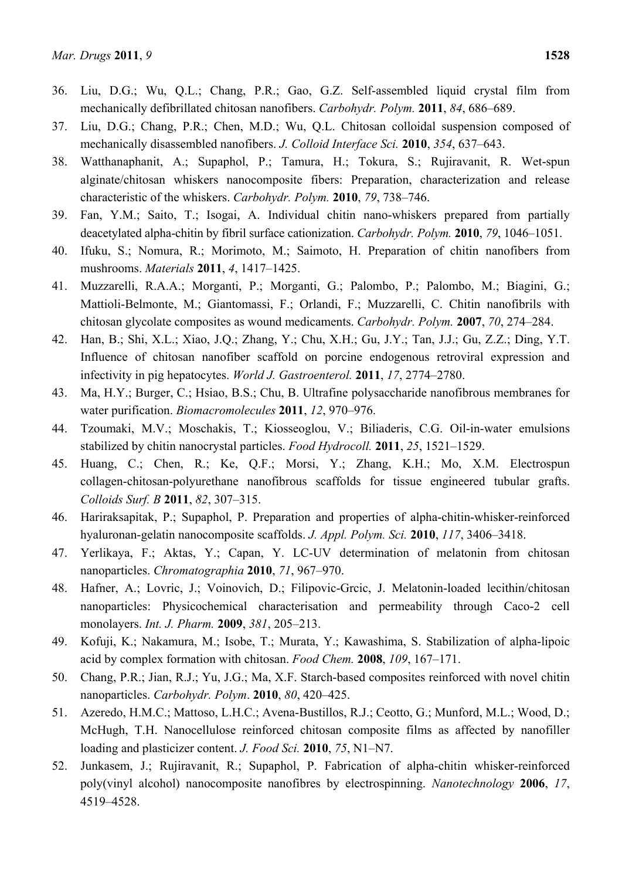- 36. Liu, D.G.; Wu, Q.L.; Chang, P.R.; Gao, G.Z. Self-assembled liquid crystal film from mechanically defibrillated chitosan nanofibers. *Carbohydr. Polym.* **2011**, *84*, 686–689.
- 37. Liu, D.G.; Chang, P.R.; Chen, M.D.; Wu, Q.L. Chitosan colloidal suspension composed of mechanically disassembled nanofibers. *J. Colloid Interface Sci.* **2010**, *354*, 637–643.
- 38. Watthanaphanit, A.; Supaphol, P.; Tamura, H.; Tokura, S.; Rujiravanit, R. Wet-spun alginate/chitosan whiskers nanocomposite fibers: Preparation, characterization and release characteristic of the whiskers. *Carbohydr. Polym.* **2010**, *79*, 738–746.
- 39. Fan, Y.M.; Saito, T.; Isogai, A. Individual chitin nano-whiskers prepared from partially deacetylated alpha-chitin by fibril surface cationization. *Carbohydr. Polym.* **2010**, *79*, 1046–1051.
- 40. Ifuku, S.; Nomura, R.; Morimoto, M.; Saimoto, H. Preparation of chitin nanofibers from mushrooms. *Materials* **2011**, *4*, 1417–1425.
- 41. Muzzarelli, R.A.A.; Morganti, P.; Morganti, G.; Palombo, P.; Palombo, M.; Biagini, G.; Mattioli-Belmonte, M.; Giantomassi, F.; Orlandi, F.; Muzzarelli, C. Chitin nanofibrils with chitosan glycolate composites as wound medicaments. *Carbohydr. Polym.* **2007**, *70*, 274–284.
- 42. Han, B.; Shi, X.L.; Xiao, J.Q.; Zhang, Y.; Chu, X.H.; Gu, J.Y.; Tan, J.J.; Gu, Z.Z.; Ding, Y.T. Influence of chitosan nanofiber scaffold on porcine endogenous retroviral expression and infectivity in pig hepatocytes. *World J. Gastroenterol.* **2011**, *17*, 2774–2780.
- 43. Ma, H.Y.; Burger, C.; Hsiao, B.S.; Chu, B. Ultrafine polysaccharide nanofibrous membranes for water purification. *Biomacromolecules* **2011**, *12*, 970–976.
- 44. Tzoumaki, M.V.; Moschakis, T.; Kiosseoglou, V.; Biliaderis, C.G. Oil-in-water emulsions stabilized by chitin nanocrystal particles. *Food Hydrocoll.* **2011**, *25*, 1521–1529.
- 45. Huang, C.; Chen, R.; Ke, Q.F.; Morsi, Y.; Zhang, K.H.; Mo, X.M. Electrospun collagen-chitosan-polyurethane nanofibrous scaffolds for tissue engineered tubular grafts. *Colloids Surf. B* **2011**, *82*, 307–315.
- 46. Hariraksapitak, P.; Supaphol, P. Preparation and properties of alpha-chitin-whisker-reinforced hyaluronan-gelatin nanocomposite scaffolds. *J. Appl. Polym. Sci.* **2010**, *117*, 3406–3418.
- 47. Yerlikaya, F.; Aktas, Y.; Capan, Y. LC-UV determination of melatonin from chitosan nanoparticles. *Chromatographia* **2010**, *71*, 967–970.
- 48. Hafner, A.; Lovric, J.; Voinovich, D.; Filipovic-Grcic, J. Melatonin-loaded lecithin/chitosan nanoparticles: Physicochemical characterisation and permeability through Caco-2 cell monolayers. *Int. J. Pharm.* **2009**, *381*, 205–213.
- 49. Kofuji, K.; Nakamura, M.; Isobe, T.; Murata, Y.; Kawashima, S. Stabilization of alpha-lipoic acid by complex formation with chitosan. *Food Chem.* **2008**, *109*, 167–171.
- 50. Chang, P.R.; Jian, R.J.; Yu, J.G.; Ma, X.F. Starch-based composites reinforced with novel chitin nanoparticles. *Carbohydr. Polym*. **2010**, *80*, 420–425.
- 51. Azeredo, H.M.C.; Mattoso, L.H.C.; Avena-Bustillos, R.J.; Ceotto, G.; Munford, M.L.; Wood, D.; McHugh, T.H. Nanocellulose reinforced chitosan composite films as affected by nanofiller loading and plasticizer content. *J. Food Sci.* **2010**, *75*, N1–N7.
- 52. Junkasem, J.; Rujiravanit, R.; Supaphol, P. Fabrication of alpha-chitin whisker-reinforced poly(vinyl alcohol) nanocomposite nanofibres by electrospinning. *Nanotechnology* **2006**, *17*, 4519–4528.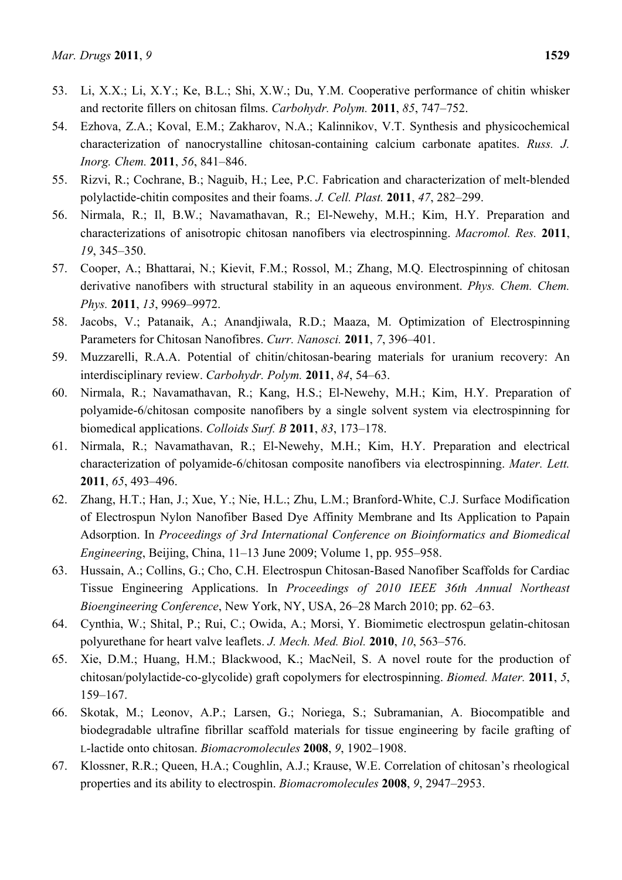- 53. Li, X.X.; Li, X.Y.; Ke, B.L.; Shi, X.W.; Du, Y.M. Cooperative performance of chitin whisker and rectorite fillers on chitosan films. *Carbohydr. Polym.* **2011**, *85*, 747–752.
- 54. Ezhova, Z.A.; Koval, E.M.; Zakharov, N.A.; Kalinnikov, V.T. Synthesis and physicochemical characterization of nanocrystalline chitosan-containing calcium carbonate apatites. *Russ. J. Inorg. Chem.* **2011**, *56*, 841–846.
- 55. Rizvi, R.; Cochrane, B.; Naguib, H.; Lee, P.C. Fabrication and characterization of melt-blended polylactide-chitin composites and their foams. *J. Cell. Plast.* **2011**, *47*, 282–299.
- 56. Nirmala, R.; Il, B.W.; Navamathavan, R.; El-Newehy, M.H.; Kim, H.Y. Preparation and characterizations of anisotropic chitosan nanofibers via electrospinning. *Macromol. Res.* **2011**, *19*, 345–350.
- 57. Cooper, A.; Bhattarai, N.; Kievit, F.M.; Rossol, M.; Zhang, M.Q. Electrospinning of chitosan derivative nanofibers with structural stability in an aqueous environment. *Phys. Chem. Chem. Phys.* **2011**, *13*, 9969–9972.
- 58. Jacobs, V.; Patanaik, A.; Anandjiwala, R.D.; Maaza, M. Optimization of Electrospinning Parameters for Chitosan Nanofibres. *Curr. Nanosci.* **2011**, *7*, 396–401.
- 59. Muzzarelli, R.A.A. Potential of chitin/chitosan-bearing materials for uranium recovery: An interdisciplinary review. *Carbohydr. Polym.* **2011**, *84*, 54–63.
- 60. Nirmala, R.; Navamathavan, R.; Kang, H.S.; El-Newehy, M.H.; Kim, H.Y. Preparation of polyamide-6/chitosan composite nanofibers by a single solvent system via electrospinning for biomedical applications. *Colloids Surf. B* **2011**, *83*, 173–178.
- 61. Nirmala, R.; Navamathavan, R.; El-Newehy, M.H.; Kim, H.Y. Preparation and electrical characterization of polyamide-6/chitosan composite nanofibers via electrospinning. *Mater. Lett.*  **2011**, *65*, 493–496.
- 62. Zhang, H.T.; Han, J.; Xue, Y.; Nie, H.L.; Zhu, L.M.; Branford-White, C.J. Surface Modification of Electrospun Nylon Nanofiber Based Dye Affinity Membrane and Its Application to Papain Adsorption. In *Proceedings of 3rd International Conference on Bioinformatics and Biomedical Engineering*, Beijing, China, 11–13 June 2009; Volume 1, pp. 955–958.
- 63. Hussain, A.; Collins, G.; Cho, C.H. Electrospun Chitosan-Based Nanofiber Scaffolds for Cardiac Tissue Engineering Applications. In *Proceedings of 2010 IEEE 36th Annual Northeast Bioengineering Conference*, New York, NY, USA, 26–28 March 2010; pp. 62–63.
- 64. Cynthia, W.; Shital, P.; Rui, C.; Owida, A.; Morsi, Y. Biomimetic electrospun gelatin-chitosan polyurethane for heart valve leaflets. *J. Mech. Med. Biol.* **2010**, *10*, 563–576.
- 65. Xie, D.M.; Huang, H.M.; Blackwood, K.; MacNeil, S. A novel route for the production of chitosan/polylactide-co-glycolide) graft copolymers for electrospinning. *Biomed. Mater.* **2011**, *5*, 159–167.
- 66. Skotak, M.; Leonov, A.P.; Larsen, G.; Noriega, S.; Subramanian, A. Biocompatible and biodegradable ultrafine fibrillar scaffold materials for tissue engineering by facile grafting of L-lactide onto chitosan. *Biomacromolecules* **2008**, *9*, 1902–1908.
- 67. Klossner, R.R.; Queen, H.A.; Coughlin, A.J.; Krause, W.E. Correlation of chitosan's rheological properties and its ability to electrospin. *Biomacromolecules* **2008**, *9*, 2947–2953.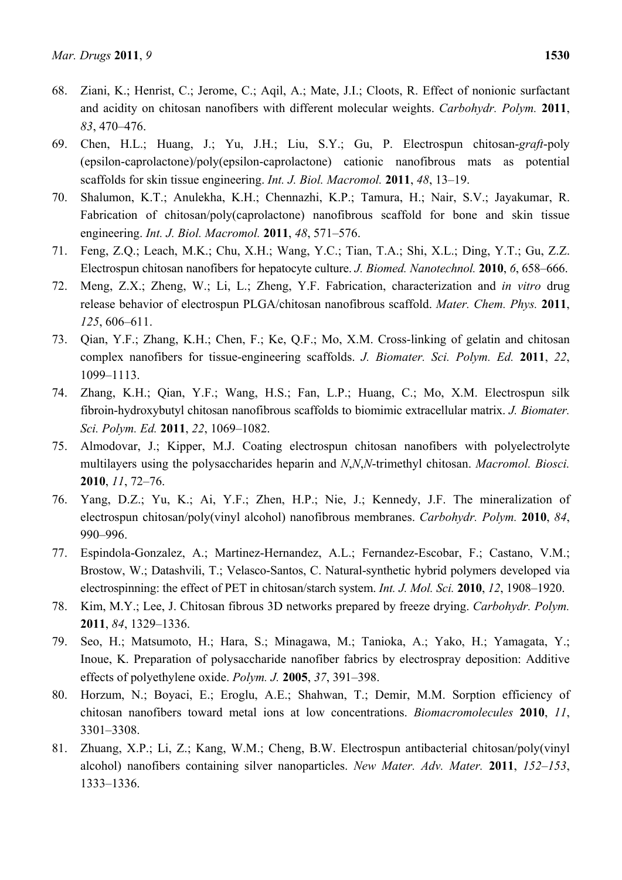- 68. Ziani, K.; Henrist, C.; Jerome, C.; Aqil, A.; Mate, J.I.; Cloots, R. Effect of nonionic surfactant and acidity on chitosan nanofibers with different molecular weights. *Carbohydr. Polym.* **2011**, *83*, 470–476.
- 69. Chen, H.L.; Huang, J.; Yu, J.H.; Liu, S.Y.; Gu, P. Electrospun chitosan-*graft*-poly (epsilon-caprolactone)/poly(epsilon-caprolactone) cationic nanofibrous mats as potential scaffolds for skin tissue engineering. *Int. J. Biol. Macromol.* **2011**, *48*, 13–19.
- 70. Shalumon, K.T.; Anulekha, K.H.; Chennazhi, K.P.; Tamura, H.; Nair, S.V.; Jayakumar, R. Fabrication of chitosan/poly(caprolactone) nanofibrous scaffold for bone and skin tissue engineering. *Int. J. Biol. Macromol.* **2011**, *48*, 571–576.
- 71. Feng, Z.Q.; Leach, M.K.; Chu, X.H.; Wang, Y.C.; Tian, T.A.; Shi, X.L.; Ding, Y.T.; Gu, Z.Z. Electrospun chitosan nanofibers for hepatocyte culture. *J. Biomed. Nanotechnol.* **2010**, *6*, 658–666.
- 72. Meng, Z.X.; Zheng, W.; Li, L.; Zheng, Y.F. Fabrication, characterization and *in vitro* drug release behavior of electrospun PLGA/chitosan nanofibrous scaffold. *Mater. Chem. Phys.* **2011**, *125*, 606–611.
- 73. Qian, Y.F.; Zhang, K.H.; Chen, F.; Ke, Q.F.; Mo, X.M. Cross-linking of gelatin and chitosan complex nanofibers for tissue-engineering scaffolds. *J. Biomater. Sci. Polym. Ed.* **2011**, *22*, 1099–1113.
- 74. Zhang, K.H.; Qian, Y.F.; Wang, H.S.; Fan, L.P.; Huang, C.; Mo, X.M. Electrospun silk fibroin-hydroxybutyl chitosan nanofibrous scaffolds to biomimic extracellular matrix. *J. Biomater. Sci. Polym. Ed.* **2011**, *22*, 1069–1082.
- 75. Almodovar, J.; Kipper, M.J. Coating electrospun chitosan nanofibers with polyelectrolyte multilayers using the polysaccharides heparin and *N*,*N*,*N*-trimethyl chitosan. *Macromol. Biosci.*  **2010**, *11*, 72–76.
- 76. Yang, D.Z.; Yu, K.; Ai, Y.F.; Zhen, H.P.; Nie, J.; Kennedy, J.F. The mineralization of electrospun chitosan/poly(vinyl alcohol) nanofibrous membranes. *Carbohydr. Polym.* **2010**, *84*, 990–996.
- 77. Espindola-Gonzalez, A.; Martinez-Hernandez, A.L.; Fernandez-Escobar, F.; Castano, V.M.; Brostow, W.; Datashvili, T.; Velasco-Santos, C. Natural-synthetic hybrid polymers developed via electrospinning: the effect of PET in chitosan/starch system. *Int. J. Mol. Sci.* **2010**, *12*, 1908–1920.
- 78. Kim, M.Y.; Lee, J. Chitosan fibrous 3D networks prepared by freeze drying. *Carbohydr. Polym.*  **2011**, *84*, 1329–1336.
- 79. Seo, H.; Matsumoto, H.; Hara, S.; Minagawa, M.; Tanioka, A.; Yako, H.; Yamagata, Y.; Inoue, K. Preparation of polysaccharide nanofiber fabrics by electrospray deposition: Additive effects of polyethylene oxide. *Polym. J.* **2005**, *37*, 391–398.
- 80. Horzum, N.; Boyaci, E.; Eroglu, A.E.; Shahwan, T.; Demir, M.M. Sorption efficiency of chitosan nanofibers toward metal ions at low concentrations. *Biomacromolecules* **2010**, *11*, 3301–3308.
- 81. Zhuang, X.P.; Li, Z.; Kang, W.M.; Cheng, B.W. Electrospun antibacterial chitosan/poly(vinyl alcohol) nanofibers containing silver nanoparticles. *New Mater. Adv. Mater.* **2011**, *152–153*, 1333–1336.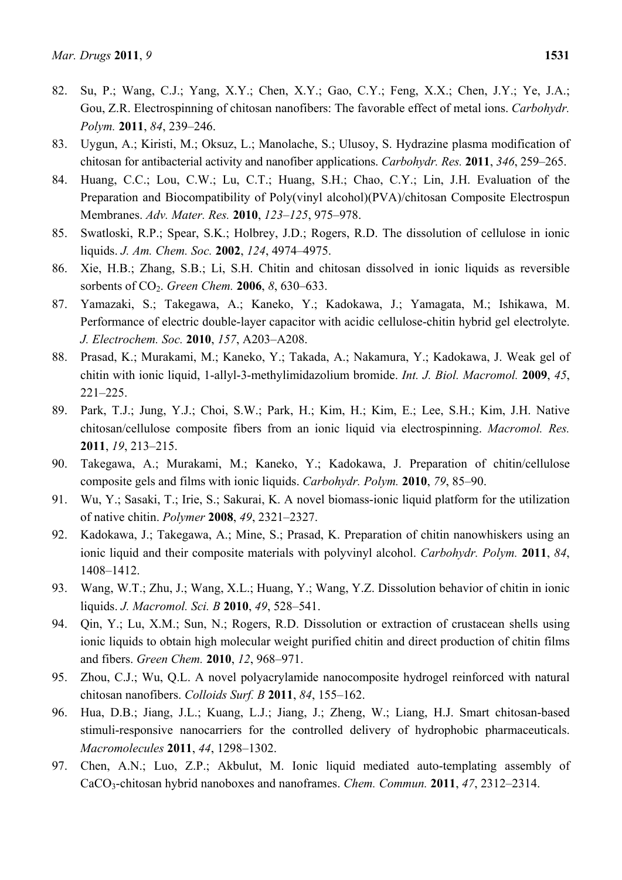- 82. Su, P.; Wang, C.J.; Yang, X.Y.; Chen, X.Y.; Gao, C.Y.; Feng, X.X.; Chen, J.Y.; Ye, J.A.; Gou, Z.R. Electrospinning of chitosan nanofibers: The favorable effect of metal ions. *Carbohydr. Polym.* **2011**, *84*, 239–246.
- 83. Uygun, A.; Kiristi, M.; Oksuz, L.; Manolache, S.; Ulusoy, S. Hydrazine plasma modification of chitosan for antibacterial activity and nanofiber applications. *Carbohydr. Res.* **2011**, *346*, 259–265.
- 84. Huang, C.C.; Lou, C.W.; Lu, C.T.; Huang, S.H.; Chao, C.Y.; Lin, J.H. Evaluation of the Preparation and Biocompatibility of Poly(vinyl alcohol)(PVA)/chitosan Composite Electrospun Membranes. *Adv. Mater. Res.* **2010**, *123–125*, 975–978.
- 85. Swatloski, R.P.; Spear, S.K.; Holbrey, J.D.; Rogers, R.D. The dissolution of cellulose in ionic liquids. *J. Am. Chem. Soc.* **2002**, *124*, 4974–4975.
- 86. Xie, H.B.; Zhang, S.B.; Li, S.H. Chitin and chitosan dissolved in ionic liquids as reversible sorbents of CO2. *Green Chem.* **2006**, *8*, 630–633.
- 87. Yamazaki, S.; Takegawa, A.; Kaneko, Y.; Kadokawa, J.; Yamagata, M.; Ishikawa, M. Performance of electric double-layer capacitor with acidic cellulose-chitin hybrid gel electrolyte. *J. Electrochem. Soc.* **2010**, *157*, A203–A208.
- 88. Prasad, K.; Murakami, M.; Kaneko, Y.; Takada, A.; Nakamura, Y.; Kadokawa, J. Weak gel of chitin with ionic liquid, 1-allyl-3-methylimidazolium bromide. *Int. J. Biol. Macromol.* **2009**, *45*, 221–225.
- 89. Park, T.J.; Jung, Y.J.; Choi, S.W.; Park, H.; Kim, H.; Kim, E.; Lee, S.H.; Kim, J.H. Native chitosan/cellulose composite fibers from an ionic liquid via electrospinning. *Macromol. Res.*  **2011**, *19*, 213–215.
- 90. Takegawa, A.; Murakami, M.; Kaneko, Y.; Kadokawa, J. Preparation of chitin/cellulose composite gels and films with ionic liquids. *Carbohydr. Polym.* **2010**, *79*, 85–90.
- 91. Wu, Y.; Sasaki, T.; Irie, S.; Sakurai, K. A novel biomass-ionic liquid platform for the utilization of native chitin. *Polymer* **2008**, *49*, 2321–2327.
- 92. Kadokawa, J.; Takegawa, A.; Mine, S.; Prasad, K. Preparation of chitin nanowhiskers using an ionic liquid and their composite materials with polyvinyl alcohol. *Carbohydr. Polym.* **2011**, *84*, 1408–1412.
- 93. Wang, W.T.; Zhu, J.; Wang, X.L.; Huang, Y.; Wang, Y.Z. Dissolution behavior of chitin in ionic liquids. *J. Macromol. Sci. B* **2010**, *49*, 528–541.
- 94. Qin, Y.; Lu, X.M.; Sun, N.; Rogers, R.D. Dissolution or extraction of crustacean shells using ionic liquids to obtain high molecular weight purified chitin and direct production of chitin films and fibers. *Green Chem.* **2010**, *12*, 968–971.
- 95. Zhou, C.J.; Wu, Q.L. A novel polyacrylamide nanocomposite hydrogel reinforced with natural chitosan nanofibers. *Colloids Surf. B* **2011**, *84*, 155–162.
- 96. Hua, D.B.; Jiang, J.L.; Kuang, L.J.; Jiang, J.; Zheng, W.; Liang, H.J. Smart chitosan-based stimuli-responsive nanocarriers for the controlled delivery of hydrophobic pharmaceuticals. *Macromolecules* **2011**, *44*, 1298–1302.
- 97. Chen, A.N.; Luo, Z.P.; Akbulut, M. Ionic liquid mediated auto-templating assembly of CaCO3-chitosan hybrid nanoboxes and nanoframes. *Chem. Commun.* **2011**, *47*, 2312–2314.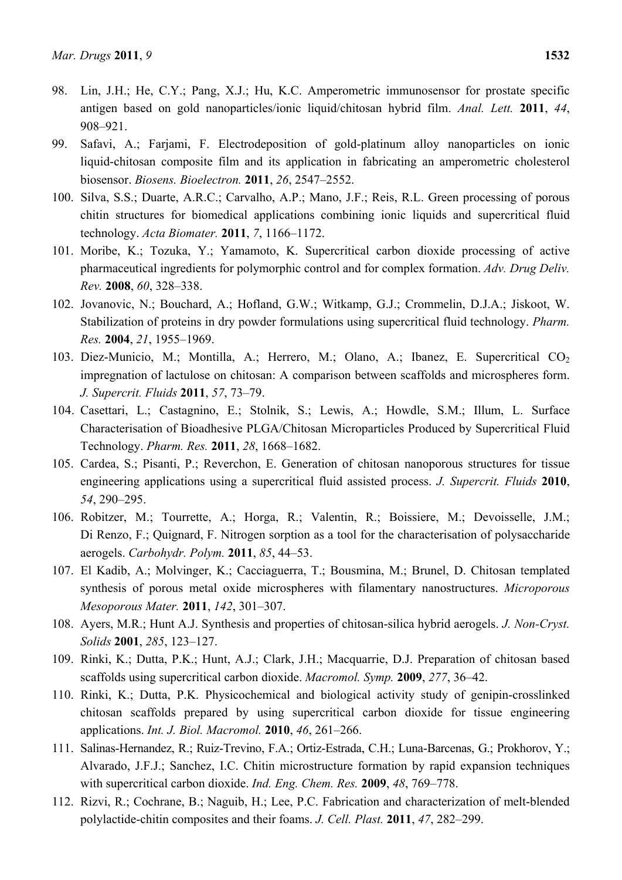- 98. Lin, J.H.; He, C.Y.; Pang, X.J.; Hu, K.C. Amperometric immunosensor for prostate specific antigen based on gold nanoparticles/ionic liquid/chitosan hybrid film. *Anal. Lett.* **2011**, *44*, 908–921.
- 99. Safavi, A.; Farjami, F. Electrodeposition of gold-platinum alloy nanoparticles on ionic liquid-chitosan composite film and its application in fabricating an amperometric cholesterol biosensor. *Biosens. Bioelectron.* **2011**, *26*, 2547–2552.
- 100. Silva, S.S.; Duarte, A.R.C.; Carvalho, A.P.; Mano, J.F.; Reis, R.L. Green processing of porous chitin structures for biomedical applications combining ionic liquids and supercritical fluid technology. *Acta Biomater.* **2011**, *7*, 1166–1172.
- 101. Moribe, K.; Tozuka, Y.; Yamamoto, K. Supercritical carbon dioxide processing of active pharmaceutical ingredients for polymorphic control and for complex formation. *Adv. Drug Deliv. Rev.* **2008**, *60*, 328–338.
- 102. Jovanovic, N.; Bouchard, A.; Hofland, G.W.; Witkamp, G.J.; Crommelin, D.J.A.; Jiskoot, W. Stabilization of proteins in dry powder formulations using supercritical fluid technology. *Pharm. Res.* **2004**, *21*, 1955–1969.
- 103. Diez-Municio, M.; Montilla, A.; Herrero, M.; Olano, A.; Ibanez, E. Supercritical CO<sub>2</sub> impregnation of lactulose on chitosan: A comparison between scaffolds and microspheres form. *J. Supercrit. Fluids* **2011**, *57*, 73–79.
- 104. Casettari, L.; Castagnino, E.; Stolnik, S.; Lewis, A.; Howdle, S.M.; Illum, L. Surface Characterisation of Bioadhesive PLGA/Chitosan Microparticles Produced by Supercritical Fluid Technology. *Pharm. Res.* **2011**, *28*, 1668–1682.
- 105. Cardea, S.; Pisanti, P.; Reverchon, E. Generation of chitosan nanoporous structures for tissue engineering applications using a supercritical fluid assisted process. *J. Supercrit. Fluids* **2010**, *54*, 290–295.
- 106. Robitzer, M.; Tourrette, A.; Horga, R.; Valentin, R.; Boissiere, M.; Devoisselle, J.M.; Di Renzo, F.; Quignard, F. Nitrogen sorption as a tool for the characterisation of polysaccharide aerogels. *Carbohydr. Polym.* **2011**, *85*, 44–53.
- 107. El Kadib, A.; Molvinger, K.; Cacciaguerra, T.; Bousmina, M.; Brunel, D. Chitosan templated synthesis of porous metal oxide microspheres with filamentary nanostructures. *Microporous Mesoporous Mater.* **2011**, *142*, 301–307.
- 108. Ayers, M.R.; Hunt A.J. Synthesis and properties of chitosan-silica hybrid aerogels. *J. Non-Cryst. Solids* **2001**, *285*, 123–127.
- 109. Rinki, K.; Dutta, P.K.; Hunt, A.J.; Clark, J.H.; Macquarrie, D.J. Preparation of chitosan based scaffolds using supercritical carbon dioxide. *Macromol. Symp.* **2009**, *277*, 36–42.
- 110. Rinki, K.; Dutta, P.K. Physicochemical and biological activity study of genipin-crosslinked chitosan scaffolds prepared by using supercritical carbon dioxide for tissue engineering applications. *Int. J. Biol. Macromol.* **2010**, *46*, 261–266.
- 111. Salinas-Hernandez, R.; Ruiz-Trevino, F.A.; Ortiz-Estrada, C.H.; Luna-Barcenas, G.; Prokhorov, Y.; Alvarado, J.F.J.; Sanchez, I.C. Chitin microstructure formation by rapid expansion techniques with supercritical carbon dioxide. *Ind. Eng. Chem. Res.* **2009**, *48*, 769–778.
- 112. Rizvi, R.; Cochrane, B.; Naguib, H.; Lee, P.C. Fabrication and characterization of melt-blended polylactide-chitin composites and their foams. *J. Cell. Plast.* **2011**, *47*, 282–299.